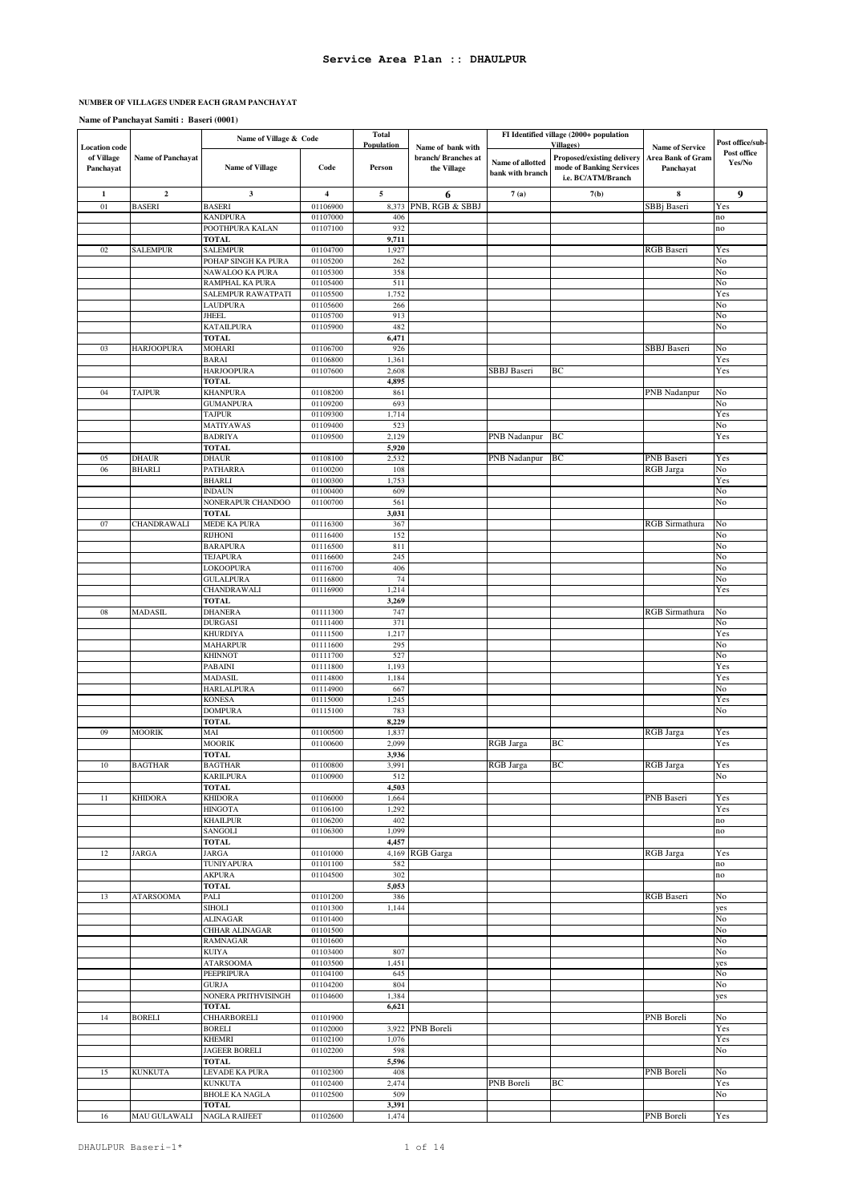#### **NUMBER OF VILLAGES UNDER EACH GRAM PANCHAYAT**

**Name of Panchayat Samiti : Baseri (0001)**

|                                                 |                     | Name of Village & Code                  |                      | Total<br>Population | FI Identified village (2000+ population<br><b>Villages</b> ) |                                      |                                                                              | Post office/sub-                                         |                       |
|-------------------------------------------------|---------------------|-----------------------------------------|----------------------|---------------------|--------------------------------------------------------------|--------------------------------------|------------------------------------------------------------------------------|----------------------------------------------------------|-----------------------|
| <b>Location</b> code<br>of Village<br>Panchayat | Name of Panchayat   | <b>Name of Village</b>                  | Code                 | Person              | Name of bank with<br>branch/ Branches at<br>the Village      | Name of allotted<br>bank with branch | Proposed/existing delivery<br>mode of Banking Services<br>i.e. BC/ATM/Branch | <b>Name of Service</b><br>Area Bank of Gram<br>Panchayat | Post office<br>Yes/No |
| 1                                               | $\boldsymbol{2}$    | 3                                       | 4                    | 5                   | 6                                                            | 7(a)                                 | 7(b)                                                                         | 8                                                        | 9                     |
| 01                                              | <b>BASERI</b>       | <b>BASERI</b>                           | 01106900             | 8,373               | PNB, RGB & SBBJ                                              |                                      |                                                                              | SBB <sub>i</sub> Baseri                                  | Yes                   |
|                                                 |                     | <b>KANDPURA</b>                         | 01107000<br>01107100 | 406<br>932          |                                                              |                                      |                                                                              |                                                          | no<br>no              |
|                                                 |                     | POOTHPURA KALAN<br>TOTAL                |                      | 9,711               |                                                              |                                      |                                                                              |                                                          |                       |
| 02                                              | <b>SALEMPUR</b>     | <b>SALEMPUR</b>                         | 01104700             | 1,927               |                                                              |                                      |                                                                              | <b>RGB</b> Baseri                                        | Yes                   |
|                                                 |                     | POHAP SINGH KA PURA                     | 01105200             | 262                 |                                                              |                                      |                                                                              |                                                          | No                    |
|                                                 |                     | NAWALOO KA PURA                         | 01105300             | 358                 |                                                              |                                      |                                                                              |                                                          | No                    |
|                                                 |                     | RAMPHAL KA PURA                         | 01105400             | 511                 |                                                              |                                      |                                                                              |                                                          | No                    |
|                                                 |                     | SALEMPUR RAWATPATI                      | 01105500             | 1,752               |                                                              |                                      |                                                                              |                                                          | Yes                   |
|                                                 |                     | <b>LAUDPURA</b>                         | 01105600             | 266<br>913          |                                                              |                                      |                                                                              |                                                          | No<br>No              |
|                                                 |                     | JHEEL<br><b>KATAILPURA</b>              | 01105700<br>01105900 | 482                 |                                                              |                                      |                                                                              |                                                          | No                    |
|                                                 |                     | <b>TOTAL</b>                            |                      | 6,471               |                                                              |                                      |                                                                              |                                                          |                       |
| 03                                              | <b>HARJOOPURA</b>   | MOHARI                                  | 01106700             | 926                 |                                                              |                                      |                                                                              | SBBJ Baseri                                              | No                    |
|                                                 |                     | <b>BARAI</b>                            | 01106800             | 1,361               |                                                              |                                      |                                                                              |                                                          | Yes                   |
|                                                 |                     | <b>HARJOOPURA</b>                       | 01107600             | 2,608               |                                                              | SBBJ Baseri                          | ВC                                                                           |                                                          | Yes                   |
|                                                 |                     | <b>TOTAL</b>                            |                      | 4,895               |                                                              |                                      |                                                                              |                                                          |                       |
| 04                                              | <b>TAJPUR</b>       | <b>KHANPURA</b><br><b>GUMANPURA</b>     | 01108200<br>01109200 | 861<br>693          |                                                              |                                      |                                                                              | <b>PNB Nadanpur</b>                                      | No<br>No              |
|                                                 |                     | <b>TAJPUR</b>                           | 01109300             | 1,714               |                                                              |                                      |                                                                              |                                                          | Yes                   |
|                                                 |                     | MATIYAWAS                               | 01109400             | 523                 |                                                              |                                      |                                                                              |                                                          | No                    |
|                                                 |                     | <b>BADRIYA</b>                          | 01109500             | 2,129               |                                                              | PNB Nadanpur                         | BС                                                                           |                                                          | Yes                   |
|                                                 |                     | <b>TOTAL</b>                            |                      | 5,920               |                                                              |                                      |                                                                              |                                                          |                       |
| 05                                              | <b>DHAUR</b>        | <b>DHAUR</b>                            | 01108100             | 2,532               |                                                              | PNB Nadanpur                         | ВC                                                                           | PNB Baseri                                               | Yes                   |
| 06                                              | <b>BHARLI</b>       | PATHARRA<br><b>BHARLI</b>               | 01100200<br>01100300 | 108<br>1,753        |                                                              |                                      |                                                                              | <b>RGB</b> Jarga                                         | No<br>Yes             |
|                                                 |                     | <b>INDAUN</b>                           | 01100400             | 609                 |                                                              |                                      |                                                                              |                                                          | No                    |
|                                                 |                     | NONERAPUR CHANDOO                       | 01100700             | 561                 |                                                              |                                      |                                                                              |                                                          | No                    |
|                                                 |                     | <b>TOTAL</b>                            |                      | 3,031               |                                                              |                                      |                                                                              |                                                          |                       |
| 07                                              | CHANDRAWALI         | <b>MEDE KA PURA</b>                     | 01116300             | 367                 |                                                              |                                      |                                                                              | RGB Sirmathura                                           | No                    |
|                                                 |                     | <b>RIJHONI</b>                          | 01116400             | 152                 |                                                              |                                      |                                                                              |                                                          | No                    |
|                                                 |                     | <b>BARAPURA</b>                         | 01116500             | 811                 |                                                              |                                      |                                                                              |                                                          | No                    |
|                                                 |                     | TEJAPURA<br>LOKOOPURA                   | 01116600<br>01116700 | 245<br>406          |                                                              |                                      |                                                                              |                                                          | No<br>No              |
|                                                 |                     | <b>GULALPURA</b>                        | 01116800             | 74                  |                                                              |                                      |                                                                              |                                                          | No                    |
|                                                 |                     | CHANDRAWALI                             | 01116900             | 1,214               |                                                              |                                      |                                                                              |                                                          | Yes                   |
|                                                 |                     | <b>TOTAL</b>                            |                      | 3,269               |                                                              |                                      |                                                                              |                                                          |                       |
| 08                                              | <b>MADASIL</b>      | <b>DHANERA</b>                          | 01111300             | 747                 |                                                              |                                      |                                                                              | RGB Sirmathura                                           | No                    |
|                                                 |                     | <b>DURGASI</b>                          | 01111400             | 371                 |                                                              |                                      |                                                                              |                                                          | No                    |
|                                                 |                     | <b>KHURDIYA</b>                         | 01111500             | 1,217               |                                                              |                                      |                                                                              |                                                          | Yes                   |
|                                                 |                     | <b>MAHARPUR</b><br><b>KHINNOT</b>       | 01111600<br>01111700 | 295<br>527          |                                                              |                                      |                                                                              |                                                          | No<br>No              |
|                                                 |                     | PABAINI                                 | 01111800             | 1,193               |                                                              |                                      |                                                                              |                                                          | Yes                   |
|                                                 |                     | <b>MADASIL</b>                          | 01114800             | 1,184               |                                                              |                                      |                                                                              |                                                          | Yes                   |
|                                                 |                     | <b>HARLALPURA</b>                       | 01114900             | 667                 |                                                              |                                      |                                                                              |                                                          | No                    |
|                                                 |                     | <b>KONESA</b>                           | 01115000             | 1,245               |                                                              |                                      |                                                                              |                                                          | Yes                   |
|                                                 |                     | <b>DOMPURA</b>                          | 01115100             | 783                 |                                                              |                                      |                                                                              |                                                          | No                    |
|                                                 | <b>MOORIK</b>       | <b>TOTAL</b>                            |                      | 8,229               |                                                              |                                      |                                                                              |                                                          |                       |
| 09                                              |                     | MAI<br><b>MOORIK</b>                    | 01100500<br>01100600 | 1,837<br>2,099      |                                                              | RGB Jarga                            | ВC                                                                           | <b>RGB</b> Jarga                                         | Yes<br>Yes            |
|                                                 |                     | <b>TOTAL</b>                            |                      | 3,936               |                                                              |                                      |                                                                              |                                                          |                       |
| 10                                              | <b>BAGTHAR</b>      | <b>BAGTHAR</b>                          | 01100800             | 3,991               |                                                              | <b>RGB</b> Jarga                     | BC                                                                           | <b>RGB</b> Jarga                                         | Yes                   |
|                                                 |                     | <b>KARILPURA</b>                        | 01100900             | 512                 |                                                              |                                      |                                                                              |                                                          | No                    |
|                                                 |                     | <b>TOTAL</b>                            |                      | 4,503               |                                                              |                                      |                                                                              |                                                          |                       |
| 11                                              | <b>KHIDORA</b>      | <b>KHIDORA</b>                          | 01106000             | 1,664               |                                                              |                                      |                                                                              | PNB Baseri                                               | Yes                   |
|                                                 |                     | <b>HINGOTA</b><br><b>KHAILPUR</b>       | 01106100<br>01106200 | 1,292<br>402        |                                                              |                                      |                                                                              |                                                          | Yes<br>no             |
|                                                 |                     | SANGOLI                                 | 01106300             | 1,099               |                                                              |                                      |                                                                              |                                                          | no                    |
|                                                 |                     | <b>TOTAL</b>                            |                      | 4,457               |                                                              |                                      |                                                                              |                                                          |                       |
| 12                                              | <b>JARGA</b>        | JARGA                                   | 01101000             |                     | 4,169 RGB Garga                                              |                                      |                                                                              | <b>RGB</b> Jarga                                         | Yes                   |
|                                                 |                     | TUNIYAPURA                              | 01101100             | 582                 |                                                              |                                      |                                                                              |                                                          | no                    |
|                                                 |                     | AKPURA                                  | 01104500             | 302                 |                                                              |                                      |                                                                              |                                                          | no                    |
|                                                 | <b>ATARSOOMA</b>    | <b>TOTAL</b>                            |                      | 5,053               |                                                              |                                      |                                                                              |                                                          |                       |
| 13                                              |                     | PALI<br><b>SIHOLI</b>                   | 01101200<br>01101300 | 386<br>1,144        |                                                              |                                      |                                                                              | <b>RGB</b> Baseri                                        | No<br>yes             |
|                                                 |                     | <b>ALINAGAR</b>                         | 01101400             |                     |                                                              |                                      |                                                                              |                                                          | No                    |
|                                                 |                     | CHHAR ALINAGAR                          | 01101500             |                     |                                                              |                                      |                                                                              |                                                          | No                    |
|                                                 |                     | <b>RAMNAGAR</b>                         | 01101600             |                     |                                                              |                                      |                                                                              |                                                          | No                    |
|                                                 |                     | <b>KUIYA</b>                            | 01103400             | 807                 |                                                              |                                      |                                                                              |                                                          | No                    |
|                                                 |                     | <b>ATARSOOMA</b>                        | 01103500             | 1,451               |                                                              |                                      |                                                                              |                                                          | yes                   |
|                                                 |                     | <b>PEEPRIPURA</b><br><b>GURJA</b>       | 01104100<br>01104200 | 645<br>804          |                                                              |                                      |                                                                              |                                                          | No<br>No              |
|                                                 |                     | NONERA PRITHVISINGH                     | 01104600             | 1,384               |                                                              |                                      |                                                                              |                                                          | yes                   |
|                                                 |                     | <b>TOTAL</b>                            |                      | 6,621               |                                                              |                                      |                                                                              |                                                          |                       |
| 14                                              | <b>BORELI</b>       | <b>CHHARBORELI</b>                      | 01101900             |                     |                                                              |                                      |                                                                              | <b>PNB</b> Boreli                                        | No                    |
|                                                 |                     | <b>BORELI</b>                           | 01102000             |                     | 3,922 PNB Boreli                                             |                                      |                                                                              |                                                          | Yes                   |
|                                                 |                     | <b>KHEMRI</b>                           | 01102100             | 1,076               |                                                              |                                      |                                                                              |                                                          | Yes                   |
|                                                 |                     | <b>JAGEER BORELI</b>                    | 01102200             | 598                 |                                                              |                                      |                                                                              |                                                          | No                    |
|                                                 |                     | <b>TOTAL</b>                            |                      | 5,596               |                                                              |                                      |                                                                              |                                                          |                       |
| 15                                              | <b>KUNKUTA</b>      | LEVADE KA PURA                          | 01102300             | 408                 |                                                              | PNB Boreli                           | ВC                                                                           | PNB Boreli                                               | No                    |
|                                                 |                     | <b>KUNKUTA</b><br><b>BHOLE KA NAGLA</b> | 01102400<br>01102500 | 2,474<br>509        |                                                              |                                      |                                                                              |                                                          | Yes<br>No             |
|                                                 |                     | <b>TOTAL</b>                            |                      | 3,391               |                                                              |                                      |                                                                              |                                                          |                       |
| 16                                              | <b>MAU GULAWALI</b> | <b>NAGLA RAIJEET</b>                    | 01102600             | 1,474               |                                                              |                                      |                                                                              | <b>PNB</b> Boreli                                        | Yes                   |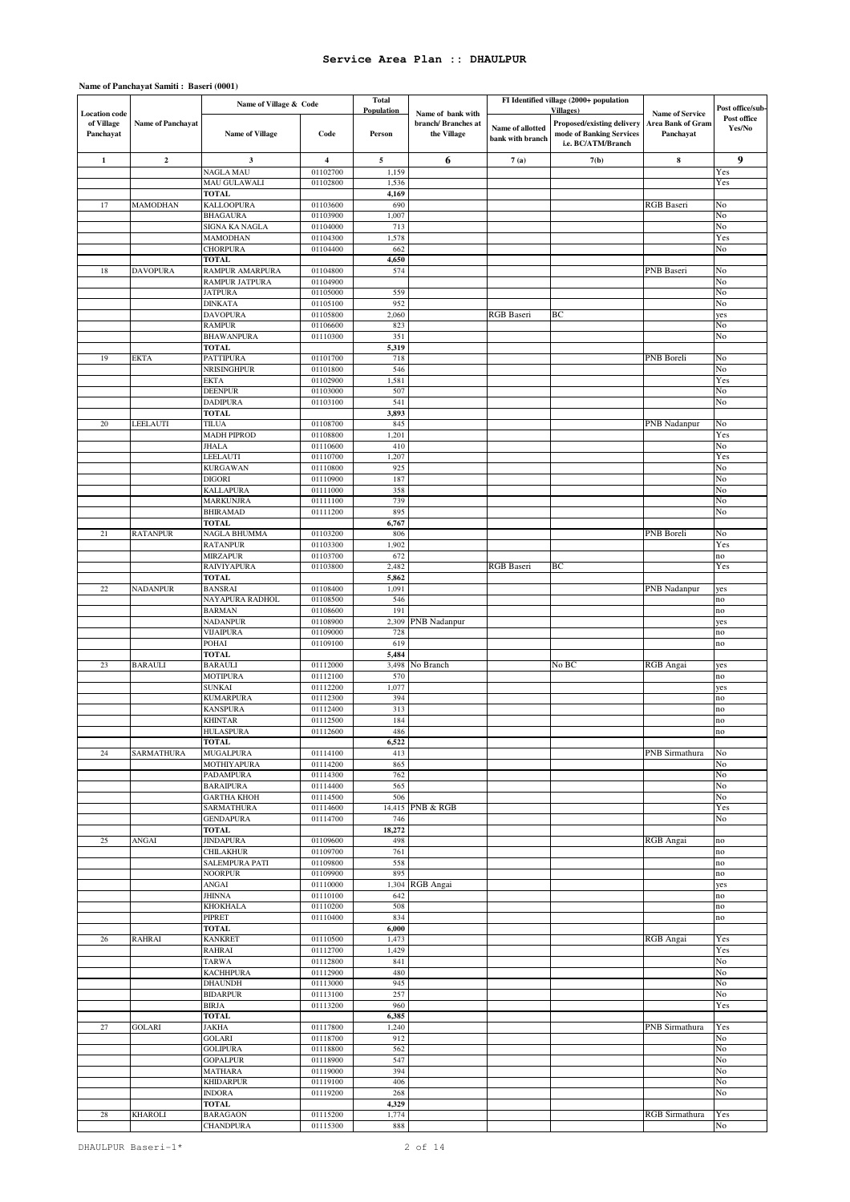|                                                 |                   | Name of Village & Code                  |                         | <b>Total</b>         |                                                        |                                      | FI Identified village (2000+ population                                                           |                                                          |                                           |
|-------------------------------------------------|-------------------|-----------------------------------------|-------------------------|----------------------|--------------------------------------------------------|--------------------------------------|---------------------------------------------------------------------------------------------------|----------------------------------------------------------|-------------------------------------------|
| <b>Location</b> code<br>of Village<br>Panchayat | Name of Panchayat | <b>Name of Village</b>                  | Code                    | Population<br>Person | Name of bank with<br>branch/Branches at<br>the Village | Name of allotted<br>bank with branch | <b>Villages</b> )<br>Proposed/existing delivery<br>mode of Banking Services<br>i.e. BC/ATM/Branch | <b>Name of Service</b><br>Area Bank of Gram<br>Panchayat | Post office/sub-<br>Post office<br>Yes/No |
| $\mathbf{1}$                                    | $\mathbf{2}$      | 3                                       | $\overline{\mathbf{4}}$ | 5                    | 6                                                      | 7(a)                                 | 7(b)                                                                                              | ${\bf 8}$                                                | $\boldsymbol{9}$                          |
|                                                 |                   | <b>NAGLA MAU</b>                        | 01102700                | 1,159                |                                                        |                                      |                                                                                                   |                                                          | Yes                                       |
|                                                 |                   | <b>MAU GULAWALI</b><br><b>TOTAL</b>     | 01102800                | 1,536<br>4,169       |                                                        |                                      |                                                                                                   |                                                          | Yes                                       |
| 17                                              | MAMODHAN          | <b>KALLOOPURA</b>                       | 01103600                | 690                  |                                                        |                                      |                                                                                                   | <b>RGB</b> Baseri                                        | No                                        |
|                                                 |                   | <b>BHAGAURA</b>                         | 01103900                | 1,007                |                                                        |                                      |                                                                                                   |                                                          | No                                        |
|                                                 |                   | SIGNA KA NAGLA<br><b>MAMODHAN</b>       | 01104000<br>01104300    | 713<br>1,578         |                                                        |                                      |                                                                                                   |                                                          | No<br>Yes                                 |
|                                                 |                   | <b>CHORPURA</b>                         | 01104400                | 662                  |                                                        |                                      |                                                                                                   |                                                          | No                                        |
|                                                 |                   | <b>TOTAL</b>                            |                         | 4,650                |                                                        |                                      |                                                                                                   |                                                          |                                           |
| 18                                              | <b>DAVOPURA</b>   | RAMPUR AMARPURA<br>RAMPUR JATPURA       | 01104800<br>01104900    | 574                  |                                                        |                                      |                                                                                                   | <b>PNB</b> Baseri                                        | No<br>No                                  |
|                                                 |                   | <b>JATPURA</b>                          | 01105000                | 559                  |                                                        |                                      |                                                                                                   |                                                          | No                                        |
|                                                 |                   | <b>DINKATA</b>                          | 01105100                | 952                  |                                                        |                                      |                                                                                                   |                                                          | No                                        |
|                                                 |                   | <b>DAVOPURA</b><br><b>RAMPUR</b>        | 01105800<br>01106600    | 2,060<br>823         |                                                        | <b>RGB</b> Baseri                    | BС                                                                                                |                                                          | yes<br>No                                 |
|                                                 |                   | <b>BHAWANPURA</b>                       | 01110300                | 351                  |                                                        |                                      |                                                                                                   |                                                          | No                                        |
| 19                                              | <b>EKTA</b>       | <b>TOTAL</b><br>PATTIPURA               | 01101700                | 5,319<br>718         |                                                        |                                      |                                                                                                   | PNB Boreli                                               | No                                        |
|                                                 |                   | <b>NRISINGHPUR</b>                      | 01101800                | 546                  |                                                        |                                      |                                                                                                   |                                                          | No                                        |
|                                                 |                   | EKTA                                    | 01102900                | 1,581                |                                                        |                                      |                                                                                                   |                                                          | Yes                                       |
|                                                 |                   | <b>DEENPUR</b><br><b>DADIPURA</b>       | 01103000<br>01103100    | 507<br>541           |                                                        |                                      |                                                                                                   |                                                          | No<br>No                                  |
|                                                 |                   | <b>TOTAL</b>                            |                         | 3,893                |                                                        |                                      |                                                                                                   |                                                          |                                           |
| $20\,$                                          | LEELAUTI          | <b>TILUA</b>                            | 01108700                | 845                  |                                                        |                                      |                                                                                                   | PNB Nadanpur                                             | No                                        |
|                                                 |                   | <b>MADH PIPROD</b><br><b>JHALA</b>      | 01108800<br>01110600    | 1,201<br>410         |                                                        |                                      |                                                                                                   |                                                          | Yes<br>No                                 |
|                                                 |                   | LEELAUTI                                | 01110700                | 1,207                |                                                        |                                      |                                                                                                   |                                                          | Yes                                       |
|                                                 |                   | <b>KURGAWAN</b>                         | 01110800                | 925                  |                                                        |                                      |                                                                                                   |                                                          | No                                        |
|                                                 |                   | <b>DIGORI</b><br><b>KALLAPURA</b>       | 01110900<br>01111000    | 187<br>358           |                                                        |                                      |                                                                                                   |                                                          | No<br>No                                  |
|                                                 |                   | <b>MARKUNJRA</b>                        | 01111100                | 739                  |                                                        |                                      |                                                                                                   |                                                          | No                                        |
|                                                 |                   | <b>BHIRAMAD</b><br><b>TOTAL</b>         | 01111200                | 895<br>6,767         |                                                        |                                      |                                                                                                   |                                                          | No                                        |
| 21                                              | <b>RATANPUR</b>   | NAGLA BHUMMA                            | 01103200                | 806                  |                                                        |                                      |                                                                                                   | PNB Boreli                                               | No                                        |
|                                                 |                   | <b>RATANPUR</b>                         | 01103300                | 1,902                |                                                        |                                      |                                                                                                   |                                                          | Yes                                       |
|                                                 |                   | <b>MIRZAPUR</b><br><b>RAIVIYAPURA</b>   | 01103700<br>01103800    | 672<br>2,482         |                                                        | <b>RGB</b> Baseri                    | BC                                                                                                |                                                          | no<br>Yes                                 |
|                                                 |                   | <b>TOTAL</b>                            |                         | 5,862                |                                                        |                                      |                                                                                                   |                                                          |                                           |
| $22\,$                                          | <b>NADANPUR</b>   | <b>BANSRAI</b>                          | 01108400                | 1,091                |                                                        |                                      |                                                                                                   | PNB Nadanpur                                             | yes                                       |
|                                                 |                   | NAYAPURA RADHOL<br><b>BARMAN</b>        | 01108500<br>01108600    | 546<br>191           |                                                        |                                      |                                                                                                   |                                                          | no<br>no                                  |
|                                                 |                   | <b>NADANPUR</b>                         | 01108900                | 2,309                | <b>PNB</b> Nadanpur                                    |                                      |                                                                                                   |                                                          | yes                                       |
|                                                 |                   | <b>VIJAIPURA</b><br>POHAI               | 01109000<br>01109100    | 728<br>619           |                                                        |                                      |                                                                                                   |                                                          | no<br>no                                  |
|                                                 |                   | <b>TOTAL</b>                            |                         | 5,484                |                                                        |                                      |                                                                                                   |                                                          |                                           |
| 23                                              | <b>BARAULI</b>    | <b>BARAULI</b>                          | 01112000                | 3,498                | No Branch                                              |                                      | No BC                                                                                             | RGB Angai                                                | yes                                       |
|                                                 |                   | <b>MOTIPURA</b><br><b>SUNKAI</b>        | 01112100<br>01112200    | 570<br>1,077         |                                                        |                                      |                                                                                                   |                                                          | no<br>yes                                 |
|                                                 |                   | <b>KUMARPURA</b>                        | 01112300                | 394                  |                                                        |                                      |                                                                                                   |                                                          | no                                        |
|                                                 |                   | <b>KANSPURA</b><br><b>KHINTAR</b>       | 01112400                | 313                  |                                                        |                                      |                                                                                                   |                                                          | no                                        |
|                                                 |                   | <b>HULASPURA</b>                        | 01112500<br>01112600    | 184<br>486           |                                                        |                                      |                                                                                                   |                                                          | no<br>no                                  |
|                                                 |                   | TOTAL                                   |                         | 6,522                |                                                        |                                      |                                                                                                   |                                                          |                                           |
| 24                                              | SARMATHURA        | <b>MUGALPURA</b><br>MOTHIYAPURA         | 01114100<br>01114200    | 413<br>865           |                                                        |                                      |                                                                                                   | PNB Sirmathura                                           | No<br>No                                  |
|                                                 |                   | PADAMPURA                               | 01114300                | 762                  |                                                        |                                      |                                                                                                   |                                                          | No                                        |
|                                                 |                   | <b>BARAIPURA</b>                        | 01114400                | 565                  |                                                        |                                      |                                                                                                   |                                                          | No                                        |
|                                                 |                   | <b>GARTHA KHOH</b><br><b>SARMATHURA</b> | 01114500<br>01114600    | 506                  | 14,415 PNB & RGB                                       |                                      |                                                                                                   |                                                          | No<br>Yes                                 |
|                                                 |                   | <b>GENDAPURA</b>                        | 01114700                | 746                  |                                                        |                                      |                                                                                                   |                                                          | No                                        |
| 25                                              | ANGAI             | TOTAL<br><b>JINDAPURA</b>               | 01109600                | 18,272<br>498        |                                                        |                                      |                                                                                                   | RGB Angai                                                | no                                        |
|                                                 |                   | <b>CHILAKHUR</b>                        | 01109700                | 761                  |                                                        |                                      |                                                                                                   |                                                          | no                                        |
|                                                 |                   | SALEMPURA PATI                          | 01109800                | 558                  |                                                        |                                      |                                                                                                   |                                                          | no                                        |
|                                                 |                   | <b>NOORPUR</b><br>ANGAI                 | 01109900<br>01110000    | 895                  | 1,304 RGB Angai                                        |                                      |                                                                                                   |                                                          | no<br>yes                                 |
|                                                 |                   | <b>JHINNA</b>                           | 01110100                | 642                  |                                                        |                                      |                                                                                                   |                                                          | no                                        |
|                                                 |                   | <b>KHOKHALA</b><br>PIPRET               | 01110200<br>01110400    | 508<br>834           |                                                        |                                      |                                                                                                   |                                                          | no<br>no                                  |
|                                                 |                   | <b>TOTAL</b>                            |                         | 6,000                |                                                        |                                      |                                                                                                   |                                                          |                                           |
| 26                                              | <b>RAHRAI</b>     | <b>KANKRET</b>                          | 01110500                | 1,473                |                                                        |                                      |                                                                                                   | RGB Angai                                                | Yes                                       |
|                                                 |                   | <b>RAHRAI</b><br><b>TARWA</b>           | 01112700<br>01112800    | 1,429<br>841         |                                                        |                                      |                                                                                                   |                                                          | Yes<br>No                                 |
|                                                 |                   | <b>KACHHPURA</b>                        | 01112900                | 480                  |                                                        |                                      |                                                                                                   |                                                          | No                                        |
|                                                 |                   | <b>DHAUNDH</b><br><b>BIDARPUR</b>       | 01113000<br>01113100    | 945<br>257           |                                                        |                                      |                                                                                                   |                                                          | No<br>No                                  |
|                                                 |                   | <b>BIRJA</b>                            | 01113200                | 960                  |                                                        |                                      |                                                                                                   |                                                          | Yes                                       |
|                                                 |                   | <b>TOTAL</b>                            |                         | 6,385                |                                                        |                                      |                                                                                                   |                                                          |                                           |
| 27                                              | <b>GOLARI</b>     | <b>JAKHA</b><br><b>GOLARI</b>           | 01117800<br>01118700    | 1,240<br>912         |                                                        |                                      |                                                                                                   | PNB Sirmathura                                           | Yes<br>No                                 |
|                                                 |                   | <b>GOLIPURA</b>                         | 01118800                | 562                  |                                                        |                                      |                                                                                                   |                                                          | No                                        |
|                                                 |                   | <b>GOPALPUR</b>                         | 01118900                | 547                  |                                                        |                                      |                                                                                                   |                                                          | No                                        |
|                                                 |                   | <b>MATHARA</b><br><b>KHIDARPUR</b>      | 01119000<br>01119100    | 394<br>406           |                                                        |                                      |                                                                                                   |                                                          | No<br>No                                  |
|                                                 |                   | <b>INDORA</b>                           | 01119200                | 268                  |                                                        |                                      |                                                                                                   |                                                          | No                                        |
|                                                 |                   | TOTAL                                   |                         | 4,329                |                                                        |                                      |                                                                                                   |                                                          |                                           |
| $\sqrt{28}$                                     | <b>KHAROLI</b>    | <b>BARAGAON</b><br><b>CHANDPURA</b>     | 01115200<br>01115300    | 1,774<br>888         |                                                        |                                      |                                                                                                   | RGB Sirmathura                                           | Yes<br>No                                 |
|                                                 |                   |                                         |                         |                      |                                                        |                                      |                                                                                                   |                                                          |                                           |

# **Name of Panchayat Samiti : Baseri (0001)**

DHAULPUR Baseri-1\* 2 of 14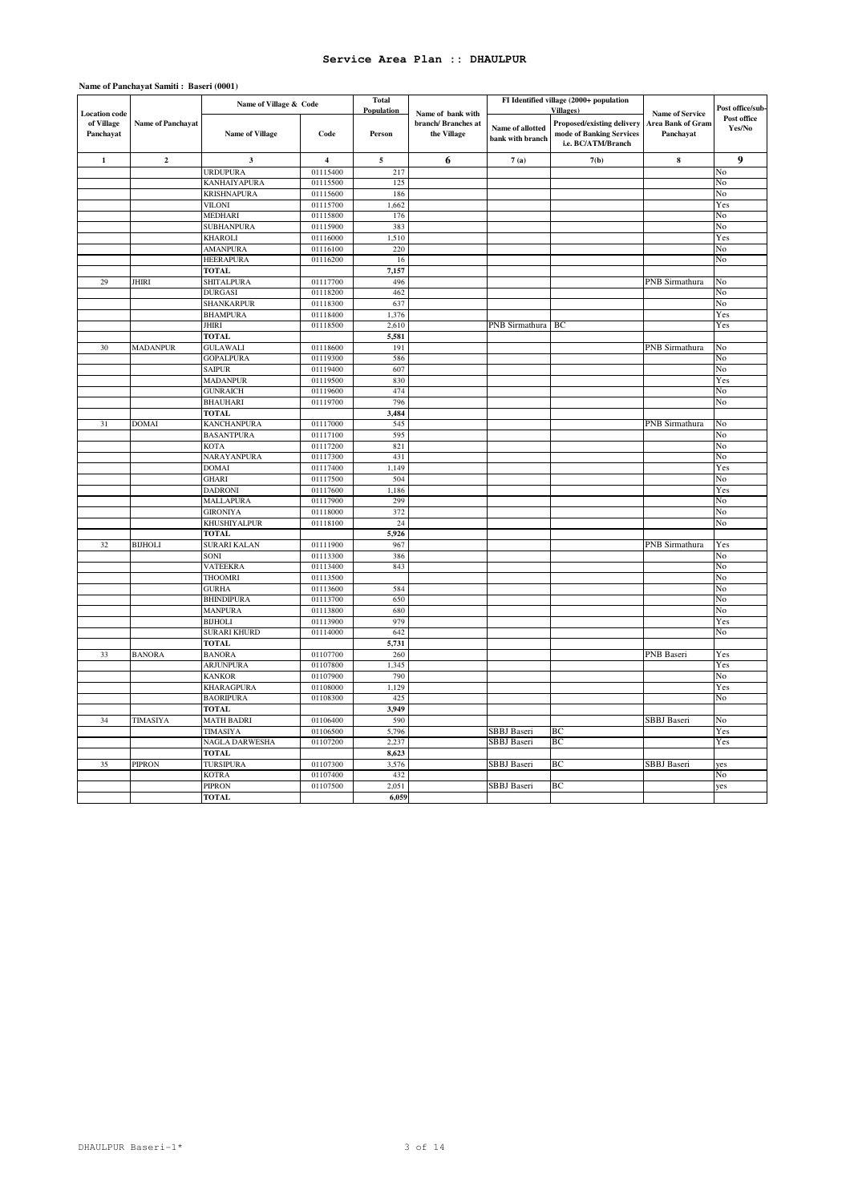|                         |                          | Name of Village & Code            |                         | <b>Total</b> |                                    | FI Identified village (2000+ population |                                                                              |                                |                       |
|-------------------------|--------------------------|-----------------------------------|-------------------------|--------------|------------------------------------|-----------------------------------------|------------------------------------------------------------------------------|--------------------------------|-----------------------|
| <b>Location</b> code    |                          |                                   |                         | Population   | Name of bank with                  |                                         | <b>Villages</b> )                                                            | <b>Name of Service</b>         | Post office/sub-      |
| of Village<br>Panchayat | <b>Name of Panchayat</b> | <b>Name of Village</b>            | Code                    | Person       | branch/ Branches at<br>the Village | Name of allotted<br>bank with branch    | Proposed/existing delivery<br>mode of Banking Services<br>i.e. BC/ATM/Branch | Area Bank of Gram<br>Panchayat | Post office<br>Yes/No |
| $\mathbf{1}$            | $\mathbf 2$              | 3                                 | $\overline{\mathbf{4}}$ | $\sqrt{5}$   | 6                                  | 7(a)                                    | 7(b)                                                                         | ${\bf 8}$                      | 9                     |
|                         |                          | <b>URDUPURA</b>                   | 01115400                | 217          |                                    |                                         |                                                                              |                                | No                    |
|                         |                          | KANHAIYAPURA                      | 01115500                | 125          |                                    |                                         |                                                                              |                                | No                    |
|                         |                          | <b>KRISHNAPURA</b>                | 01115600                | 186          |                                    |                                         |                                                                              |                                | No                    |
|                         |                          | <b>VILONI</b>                     | 01115700                | 1,662        |                                    |                                         |                                                                              |                                | Yes                   |
|                         |                          | MEDHARI                           | 01115800                | 176          |                                    |                                         |                                                                              |                                | No                    |
|                         |                          | <b>SUBHANPURA</b>                 | 01115900                | 383          |                                    |                                         |                                                                              |                                | No                    |
|                         |                          | <b>KHAROLI</b>                    | 01116000                | 1,510        |                                    |                                         |                                                                              |                                | Yes                   |
|                         |                          | <b>AMANPURA</b>                   | 01116100                | 220          |                                    |                                         |                                                                              |                                | No                    |
|                         |                          | <b>HEERAPURA</b>                  | 01116200                | 16           |                                    |                                         |                                                                              |                                | No                    |
|                         |                          | TOTAL                             |                         | 7,157        |                                    |                                         |                                                                              |                                |                       |
| 29                      | JHIRI                    | SHITALPURA                        | 01117700                | 496          |                                    |                                         |                                                                              | PNB Sirmathura                 | No                    |
|                         |                          | <b>DURGASI</b>                    | 01118200                | 462          |                                    |                                         |                                                                              |                                | No                    |
|                         |                          | SHANKARPUR                        | 01118300                | 637          |                                    |                                         |                                                                              |                                | No                    |
|                         |                          | <b>BHAMPURA</b>                   | 01118400                | 1,376        |                                    |                                         |                                                                              |                                | Yes                   |
|                         |                          | JHIRI                             | 01118500                | 2,610        |                                    | PNB Sirmathura                          | BC                                                                           |                                | Yes                   |
| 30                      | <b>MADANPUR</b>          | TOTAL<br><b>GULAWALI</b>          | 01118600                | 5,581<br>191 |                                    |                                         |                                                                              | PNB Sirmathura                 | No                    |
|                         |                          | <b>GOPALPURA</b>                  | 01119300                | 586          |                                    |                                         |                                                                              |                                | No                    |
|                         |                          | <b>SAIPUR</b>                     | 01119400                | 607          |                                    |                                         |                                                                              |                                | No                    |
|                         |                          | <b>MADANPUR</b>                   | 01119500                | 830          |                                    |                                         |                                                                              |                                | Yes                   |
|                         |                          | <b>GUNRAICH</b>                   | 01119600                | 474          |                                    |                                         |                                                                              |                                | No                    |
|                         |                          | <b>BHAUHARI</b>                   | 01119700                | 796          |                                    |                                         |                                                                              |                                | No                    |
|                         |                          | <b>TOTAL</b>                      |                         | 3,484        |                                    |                                         |                                                                              |                                |                       |
| 31                      | <b>DOMAI</b>             | <b>KANCHANPURA</b>                | 01117000                | 545          |                                    |                                         |                                                                              | PNB Sirmathura                 | No                    |
|                         |                          | <b>BASANTPURA</b>                 | 01117100                | 595          |                                    |                                         |                                                                              |                                | No                    |
|                         |                          | <b>KOTA</b>                       | 01117200                | 821          |                                    |                                         |                                                                              |                                | No                    |
|                         |                          | NARAYANPURA                       | 01117300                | 431          |                                    |                                         |                                                                              |                                | No                    |
|                         |                          | <b>DOMAI</b>                      | 01117400                | 1,149        |                                    |                                         |                                                                              |                                | Yes                   |
|                         |                          | <b>GHARI</b>                      | 01117500                | 504          |                                    |                                         |                                                                              |                                | No                    |
|                         |                          | <b>DADRONI</b>                    | 01117600                | 1,186        |                                    |                                         |                                                                              |                                | Yes                   |
|                         |                          | <b>MALLAPURA</b>                  | 01117900                | 299          |                                    |                                         |                                                                              |                                | No                    |
|                         |                          | <b>GIRONIYA</b>                   | 01118000                | 372          |                                    |                                         |                                                                              |                                | No                    |
|                         |                          | KHUSHIYALPUR                      | 01118100                | 24           |                                    |                                         |                                                                              |                                | No                    |
|                         |                          | <b>TOTAL</b>                      |                         | 5,926        |                                    |                                         |                                                                              |                                |                       |
| 32                      | <b>BIJHOLI</b>           | <b>SURARI KALAN</b>               | 01111900                | 967          |                                    |                                         |                                                                              | PNB Sirmathura                 | Yes                   |
|                         |                          | SONI                              | 01113300                | 386          |                                    |                                         |                                                                              |                                | No                    |
|                         |                          | <b>VATEEKRA</b>                   | 01113400                | 843          |                                    |                                         |                                                                              |                                | No                    |
|                         |                          | <b>THOOMRI</b>                    | 01113500                |              |                                    |                                         |                                                                              |                                | No                    |
|                         |                          | <b>GURHA</b><br><b>BHINDIPURA</b> | 01113600<br>01113700    | 584<br>650   |                                    |                                         |                                                                              |                                | No<br>No              |
|                         |                          | <b>MANPURA</b>                    | 01113800                | 680          |                                    |                                         |                                                                              |                                | No                    |
|                         |                          | <b>BIJHOLI</b>                    | 01113900                | 979          |                                    |                                         |                                                                              |                                | Yes                   |
|                         |                          | <b>SURARI KHURD</b>               | 01114000                | 642          |                                    |                                         |                                                                              |                                | No                    |
|                         |                          | <b>TOTAL</b>                      |                         | 5,731        |                                    |                                         |                                                                              |                                |                       |
| 33                      | <b>BANORA</b>            | <b>BANORA</b>                     | 01107700                | 260          |                                    |                                         |                                                                              | PNB Baseri                     | Yes                   |
|                         |                          | <b>ARJUNPURA</b>                  | 01107800                | 1,345        |                                    |                                         |                                                                              |                                | Yes                   |
|                         |                          | <b>KANKOR</b>                     | 01107900                | 790          |                                    |                                         |                                                                              |                                | No                    |
|                         |                          | <b>KHARAGPURA</b>                 | 01108000                | 1,129        |                                    |                                         |                                                                              |                                | Yes                   |
|                         |                          | <b>BAORIPURA</b>                  | 01108300                | 425          |                                    |                                         |                                                                              |                                | No                    |
|                         |                          | <b>TOTAL</b>                      |                         | 3,949        |                                    |                                         |                                                                              |                                |                       |
| 34                      | TIMASIYA                 | <b>MATH BADRI</b>                 | 01106400                | 590          |                                    |                                         |                                                                              | <b>SBBJ</b> Baseri             | No                    |
|                         |                          | TIMASIYA                          | 01106500                | 5,796        |                                    | SBBJ Baseri                             | BC                                                                           |                                | Yes                   |
|                         |                          | <b>NAGLA DARWESHA</b>             | 01107200                | 2.237        |                                    | SBBJ Baseri                             | BC.                                                                          |                                | Yes                   |
|                         |                          | TOTAL                             |                         | 8,623        |                                    |                                         |                                                                              |                                |                       |
| 35                      | <b>PIPRON</b>            | <b>TURSIPURA</b>                  | 01107300                | 3,576        |                                    | <b>SBBJ</b> Baseri                      | BC                                                                           | SBBJ Baseri                    | yes                   |
|                         |                          | <b>KOTRA</b>                      | 01107400                | 432          |                                    |                                         |                                                                              |                                | No                    |
|                         |                          | <b>PIPRON</b>                     | 01107500                | 2,051        |                                    | SBBJ Baseri                             | BC                                                                           |                                | yes                   |
|                         |                          | <b>TOTAL</b>                      |                         | 6,059        |                                    |                                         |                                                                              |                                |                       |

### **Name of Panchayat Samiti : Baseri (0001)**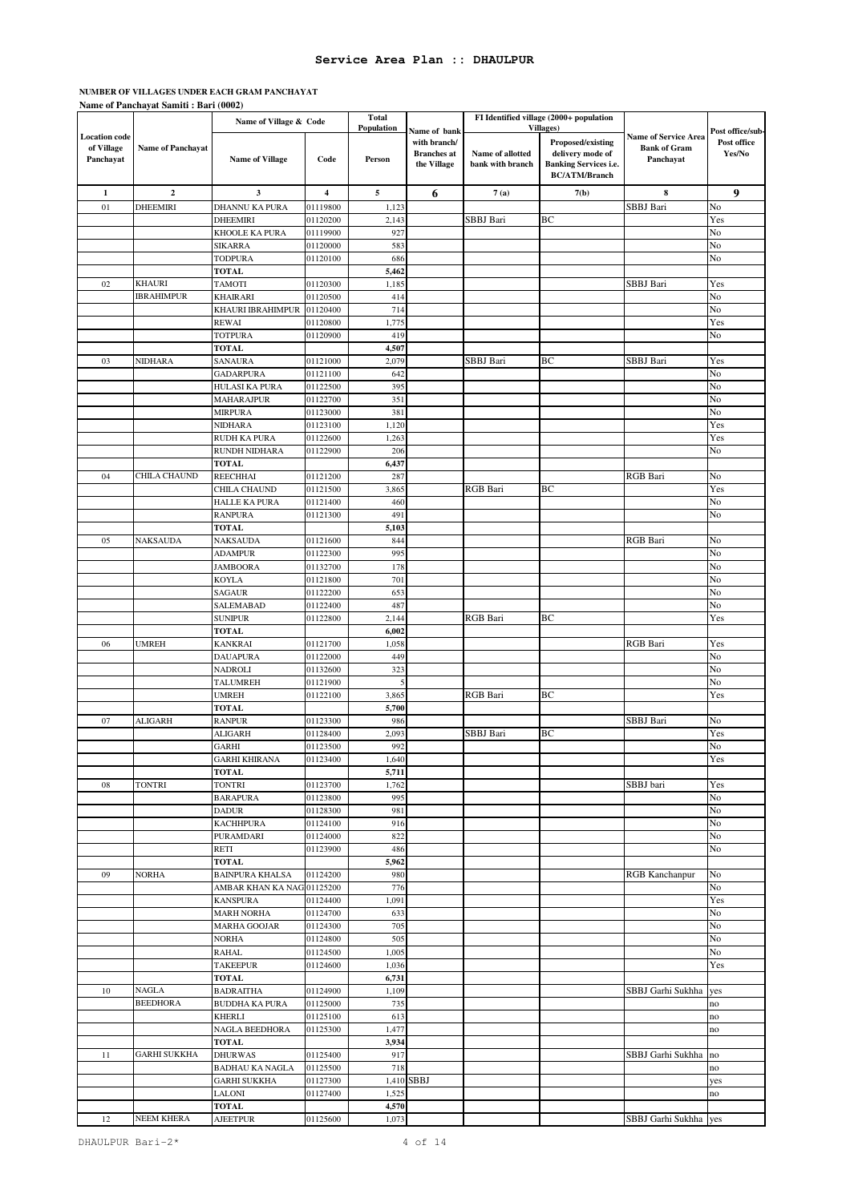#### **NUMBER OF VILLAGES UNDER EACH GRAM PANCHAYAT Name of Panchayat Samiti : Bari (0002)**

|                                                 |                          | Name of Village & Code           |                         | <b>Total</b>                |                                                                   |                                      | FI Identified village (2000+ population                                                                            |                                                                 |                                           |
|-------------------------------------------------|--------------------------|----------------------------------|-------------------------|-----------------------------|-------------------------------------------------------------------|--------------------------------------|--------------------------------------------------------------------------------------------------------------------|-----------------------------------------------------------------|-------------------------------------------|
| <b>Location</b> code<br>of Village<br>Panchayat | <b>Name of Panchayat</b> | <b>Name of Village</b>           | Code                    | <b>Population</b><br>Person | Name of bank<br>with branch/<br><b>Branches</b> at<br>the Village | Name of allotted<br>bank with branch | <b>Villages</b> )<br>Proposed/existing<br>delivery mode of<br><b>Banking Services i.e.</b><br><b>BC/ATM/Branch</b> | <b>Name of Service Area</b><br><b>Bank of Gram</b><br>Panchayat | Post office/sub-<br>Post office<br>Yes/No |
| $\mathbf{1}$                                    | $\mathbf{2}$             | 3                                | $\overline{\mathbf{4}}$ | 5                           | 6                                                                 | 7(a)                                 | 7(b)                                                                                                               | 8                                                               | 9                                         |
| 01                                              | DHEEMIRI                 | DHANNU KA PURA                   | 01119800                | 1,123                       |                                                                   |                                      |                                                                                                                    | SBBJ Bari                                                       | No                                        |
|                                                 |                          | DHEEMIRI                         | 01120200                | 2,143                       |                                                                   | SBBJ Bari                            | BC                                                                                                                 |                                                                 | Yes                                       |
|                                                 |                          | KHOOLE KA PURA                   | 01119900                | 927                         |                                                                   |                                      |                                                                                                                    |                                                                 | No                                        |
|                                                 |                          | SIKARRA                          | 01120000                | 583                         |                                                                   |                                      |                                                                                                                    |                                                                 | No                                        |
|                                                 |                          | <b>TODPURA</b>                   | 01120100                | 686                         |                                                                   |                                      |                                                                                                                    |                                                                 | No                                        |
|                                                 |                          | <b>TOTAL</b>                     |                         | 5,462                       |                                                                   |                                      |                                                                                                                    |                                                                 |                                           |
| 02                                              | KHAURI                   | TAMOTI                           | 01120300                | 1,185                       |                                                                   |                                      |                                                                                                                    | SBBJ Bari                                                       | Yes                                       |
|                                                 | <b>IBRAHIMPUR</b>        | KHAIRARI                         | 01120500                | 414                         |                                                                   |                                      |                                                                                                                    |                                                                 | No                                        |
|                                                 |                          | KHAURI IBRAHIMPUR                | 01120400                | 714                         |                                                                   |                                      |                                                                                                                    |                                                                 | No                                        |
|                                                 |                          | <b>REWAI</b>                     | 01120800                | 1,775                       |                                                                   |                                      |                                                                                                                    |                                                                 | Yes                                       |
|                                                 |                          | <b>TOTPURA</b>                   | 01120900                | 419                         |                                                                   |                                      |                                                                                                                    |                                                                 | No                                        |
|                                                 |                          | <b>TOTAL</b>                     |                         | 4,507                       |                                                                   |                                      |                                                                                                                    |                                                                 |                                           |
| 03                                              | NIDHARA                  | SANAURA                          | 01121000                | 2,079                       |                                                                   | SBBJ Bari                            | BC                                                                                                                 | SBBJ Bari                                                       | Yes                                       |
|                                                 |                          | GADARPURA                        | 01121100                | 642                         |                                                                   |                                      |                                                                                                                    |                                                                 | No                                        |
|                                                 |                          | HULASI KA PURA                   | 01122500                | 395                         |                                                                   |                                      |                                                                                                                    |                                                                 | No                                        |
|                                                 |                          | MAHARAJPUR                       | 01122700                | 351                         |                                                                   |                                      |                                                                                                                    |                                                                 | No                                        |
|                                                 |                          | MIRPURA                          | 01123000                | 381                         |                                                                   |                                      |                                                                                                                    |                                                                 | No                                        |
|                                                 |                          | NIDHARA                          | 01123100                | 1,120                       |                                                                   |                                      |                                                                                                                    |                                                                 | Yes                                       |
|                                                 |                          | RUDH KA PURA                     | 01122600                | 1,263                       |                                                                   |                                      |                                                                                                                    |                                                                 | Yes                                       |
|                                                 |                          | RUNDH NIDHARA                    | 01122900                | 206                         |                                                                   |                                      |                                                                                                                    |                                                                 | No                                        |
|                                                 | CHILA CHAUND             | <b>TOTAL</b>                     |                         | 6,437                       |                                                                   |                                      |                                                                                                                    |                                                                 |                                           |
| 04                                              |                          | REECHHAI<br>CHILA CHAUND         | 01121200                | 287                         |                                                                   | RGB Bari                             | ВC                                                                                                                 | <b>RGB</b> Bari                                                 | No                                        |
|                                                 |                          |                                  | 01121500<br>01121400    | 3,865<br>460                |                                                                   |                                      |                                                                                                                    |                                                                 | Yes<br>No                                 |
|                                                 |                          | HALLE KA PURA<br><b>RANPURA</b>  | 01121300                | 491                         |                                                                   |                                      |                                                                                                                    |                                                                 | No                                        |
|                                                 |                          | <b>TOTAL</b>                     |                         | 5,103                       |                                                                   |                                      |                                                                                                                    |                                                                 |                                           |
| 05                                              | NAKSAUDA                 | NAKSAUDA                         | 01121600                | 844                         |                                                                   |                                      |                                                                                                                    | <b>RGB</b> Bari                                                 | No                                        |
|                                                 |                          | <b>ADAMPUR</b>                   | 01122300                | 995                         |                                                                   |                                      |                                                                                                                    |                                                                 | No                                        |
|                                                 |                          | JAMBOORA                         | 01132700                | 178                         |                                                                   |                                      |                                                                                                                    |                                                                 | No                                        |
|                                                 |                          | KOYLA                            | 01121800                | 701                         |                                                                   |                                      |                                                                                                                    |                                                                 | No                                        |
|                                                 |                          | SAGAUR                           | 01122200                | 653                         |                                                                   |                                      |                                                                                                                    |                                                                 | No                                        |
|                                                 |                          | SALEMABAD                        | 01122400                | 487                         |                                                                   |                                      |                                                                                                                    |                                                                 | No                                        |
|                                                 |                          | SUNIPUR                          | 01122800                | 2,144                       |                                                                   | <b>RGB</b> Bari                      | ВC                                                                                                                 |                                                                 | Yes                                       |
|                                                 |                          | <b>TOTAL</b>                     |                         | 6,002                       |                                                                   |                                      |                                                                                                                    |                                                                 |                                           |
| 06                                              | JMREH                    | KANKRAI                          | 01121700                | 1,058                       |                                                                   |                                      |                                                                                                                    | RGB Bari                                                        | Yes                                       |
|                                                 |                          | DAUAPURA                         | 01122000                | 449                         |                                                                   |                                      |                                                                                                                    |                                                                 | No                                        |
|                                                 |                          | NADROLI                          | 01132600                | 323                         |                                                                   |                                      |                                                                                                                    |                                                                 | No                                        |
|                                                 |                          | TALUMREH                         | 01121900                | 5                           |                                                                   |                                      |                                                                                                                    |                                                                 | No                                        |
|                                                 |                          | UMREH                            | 01122100                | 3,865                       |                                                                   | RGB Bari                             | ВC                                                                                                                 |                                                                 | Yes                                       |
|                                                 |                          | <b>TOTAL</b>                     |                         | 5,700                       |                                                                   |                                      |                                                                                                                    |                                                                 |                                           |
| 07                                              | ALIGARH                  | <b>RANPUR</b>                    | 01123300                | 986                         |                                                                   |                                      |                                                                                                                    | SBBJ Bari                                                       | No                                        |
|                                                 |                          | ALIGARH                          | 01128400                | 2,093                       |                                                                   | SBBJ Bari                            | ВC                                                                                                                 |                                                                 | Yes                                       |
|                                                 |                          | <b>GARHI</b>                     | 01123500                | 992                         |                                                                   |                                      |                                                                                                                    |                                                                 | No                                        |
|                                                 |                          | <b>GARHI KHIRANA</b>             | 01123400                | 1,640                       |                                                                   |                                      |                                                                                                                    |                                                                 | Yes                                       |
|                                                 |                          | <b>TOTAL</b>                     |                         | 5,711                       |                                                                   |                                      |                                                                                                                    |                                                                 |                                           |
| 08                                              | TONTRI                   | <b>TONTRI</b>                    | 01123700                | 1,762                       |                                                                   |                                      |                                                                                                                    | SBBJ bari                                                       | Yes                                       |
|                                                 |                          | <b>BARAPURA</b>                  | 01123800                | 995<br>981                  |                                                                   |                                      |                                                                                                                    |                                                                 | No<br>No                                  |
|                                                 |                          | <b>DADUR</b><br><b>KACHHPURA</b> | 01128300<br>01124100    | 916                         |                                                                   |                                      |                                                                                                                    |                                                                 | No                                        |
|                                                 |                          | PURAMDARI                        | 01124000                | 822                         |                                                                   |                                      |                                                                                                                    |                                                                 | No                                        |
|                                                 |                          | RETI                             | 01123900                | 486                         |                                                                   |                                      |                                                                                                                    |                                                                 | No                                        |
|                                                 |                          | <b>TOTAL</b>                     |                         | 5,962                       |                                                                   |                                      |                                                                                                                    |                                                                 |                                           |
| 09                                              | <b>NORHA</b>             | <b>BAINPURA KHALSA</b>           | 01124200                | 980                         |                                                                   |                                      |                                                                                                                    | <b>RGB Kanchanpur</b>                                           | No                                        |
|                                                 |                          | AMBAR KHAN KA NAG 01125200       |                         | 776                         |                                                                   |                                      |                                                                                                                    |                                                                 | No                                        |
|                                                 |                          | <b>KANSPURA</b>                  | 01124400                | 1,091                       |                                                                   |                                      |                                                                                                                    |                                                                 | Yes                                       |
|                                                 |                          | <b>MARH NORHA</b>                | 01124700                | 633                         |                                                                   |                                      |                                                                                                                    |                                                                 | No                                        |
|                                                 |                          | <b>MARHA GOOJAR</b>              | 01124300                | 705                         |                                                                   |                                      |                                                                                                                    |                                                                 | No                                        |
|                                                 |                          | <b>NORHA</b>                     | 01124800                | 505                         |                                                                   |                                      |                                                                                                                    |                                                                 | No                                        |
|                                                 |                          | <b>RAHAL</b>                     | 01124500                | 1,005                       |                                                                   |                                      |                                                                                                                    |                                                                 | No                                        |
|                                                 |                          | <b>TAKEEPUR</b>                  | 01124600                | 1,036                       |                                                                   |                                      |                                                                                                                    |                                                                 | Yes                                       |
|                                                 |                          | <b>TOTAL</b>                     |                         | 6,731                       |                                                                   |                                      |                                                                                                                    |                                                                 |                                           |
| 10                                              | <b>NAGLA</b>             | <b>BADRAITHA</b>                 | 01124900                | 1,109                       |                                                                   |                                      |                                                                                                                    | SBBJ Garhi Sukhha                                               | yes                                       |
|                                                 | <b>BEEDHORA</b>          | <b>BUDDHA KA PURA</b>            | 01125000                | 735                         |                                                                   |                                      |                                                                                                                    |                                                                 | no                                        |
|                                                 |                          | <b>KHERLI</b>                    | 01125100                | 613                         |                                                                   |                                      |                                                                                                                    |                                                                 | no                                        |
|                                                 |                          | NAGLA BEEDHORA                   | 01125300                | 1,477                       |                                                                   |                                      |                                                                                                                    |                                                                 | no                                        |
|                                                 |                          | <b>TOTAL</b>                     |                         | 3,934                       |                                                                   |                                      |                                                                                                                    |                                                                 |                                           |
| 11                                              | GARHI SUKKHA             | <b>DHURWAS</b>                   | 01125400                | 917                         |                                                                   |                                      |                                                                                                                    | SBBJ Garhi Sukhha                                               | no                                        |
|                                                 |                          | <b>BADHAU KA NAGLA</b>           | 01125500                | 718                         |                                                                   |                                      |                                                                                                                    |                                                                 | no                                        |
|                                                 |                          | <b>GARHI SUKKHA</b>              | 01127300                |                             | 1,410 SBBJ                                                        |                                      |                                                                                                                    |                                                                 | yes                                       |
|                                                 |                          | LALONI                           | 01127400                | 1,525                       |                                                                   |                                      |                                                                                                                    |                                                                 | no                                        |
|                                                 | NEEM KHERA               | <b>TOTAL</b>                     |                         | 4,570                       |                                                                   |                                      |                                                                                                                    |                                                                 |                                           |
| 12                                              |                          | AJEETPUR                         | 01125600                | 1,073                       |                                                                   |                                      |                                                                                                                    | SBBJ Garhi Sukhha yes                                           |                                           |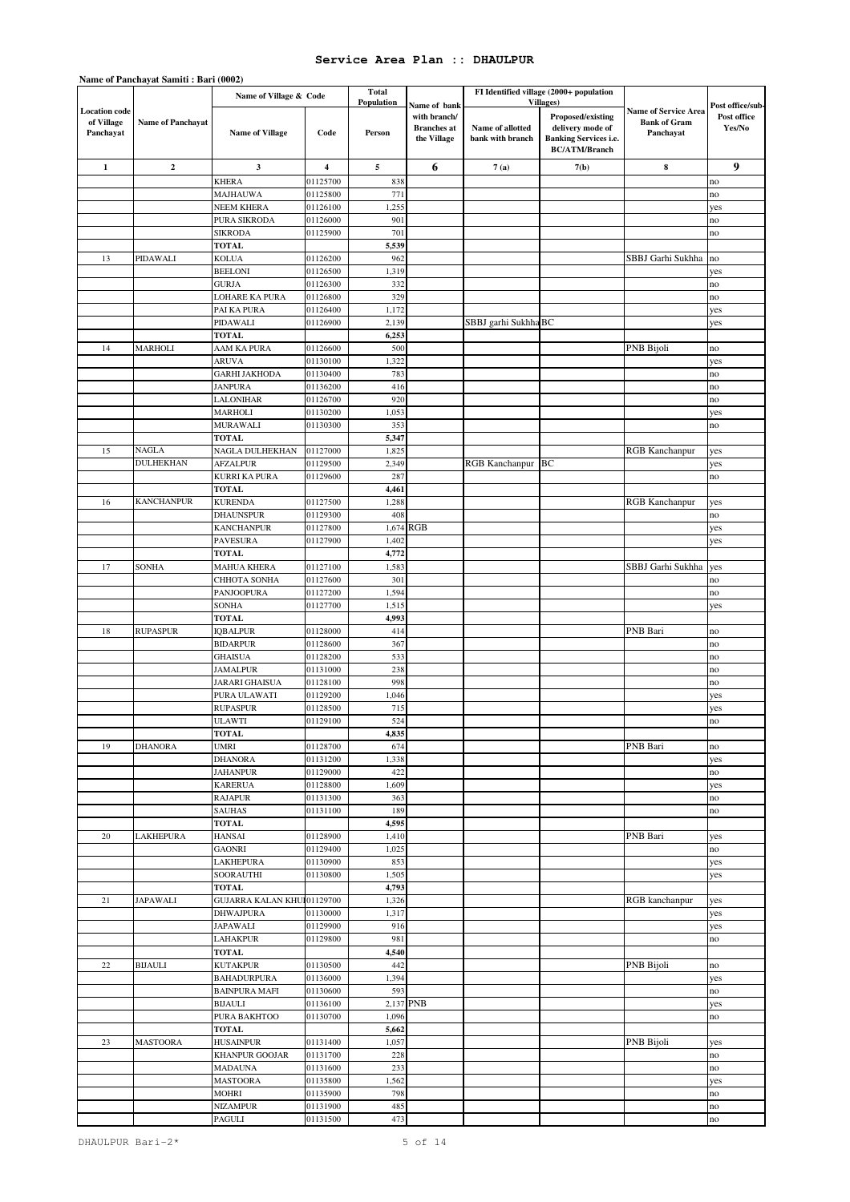|                                    | Name of Fanchayat Sannu ; Daft (0004) |                            |          |              |                    |                      |                                         |                                                    |                  |
|------------------------------------|---------------------------------------|----------------------------|----------|--------------|--------------------|----------------------|-----------------------------------------|----------------------------------------------------|------------------|
|                                    |                                       | Name of Village & Code     |          | <b>Total</b> |                    |                      | FI Identified village (2000+ population |                                                    |                  |
|                                    |                                       |                            |          | Population   | Name of bank       |                      | <b>Villages</b> )                       |                                                    | Post office/sub- |
| <b>Location</b> code<br>of Village | <b>Name of Panchayat</b>              |                            |          |              | with branch/       |                      | Proposed/existing                       | <b>Name of Service Area</b><br><b>Bank of Gram</b> | Post office      |
| Panchayat                          |                                       | <b>Name of Village</b>     | Code     | Person       | <b>Branches</b> at | Name of allotted     | delivery mode of                        | Panchayat                                          | Yes/No           |
|                                    |                                       |                            |          |              | the Village        | bank with branch     | <b>Banking Services i.e.</b>            |                                                    |                  |
|                                    |                                       |                            |          |              |                    |                      | <b>BC/ATM/Branch</b>                    |                                                    |                  |
| $\mathbf{1}$                       | $\mathbf{2}$                          | 3                          | 4        | 5            | 6                  | 7(a)                 | 7(b)                                    | $\bf8$                                             | 9                |
|                                    |                                       | <b>KHERA</b>               | 01125700 | 838          |                    |                      |                                         |                                                    | no               |
|                                    |                                       | <b>MAJHAUWA</b>            | 01125800 | 771          |                    |                      |                                         |                                                    | no               |
|                                    |                                       | <b>NEEM KHERA</b>          | 01126100 | 1,255        |                    |                      |                                         |                                                    | yes              |
|                                    |                                       | PURA SIKRODA               | 01126000 | 901          |                    |                      |                                         |                                                    | no               |
|                                    |                                       | <b>SIKRODA</b>             | 01125900 | 701          |                    |                      |                                         |                                                    | no               |
|                                    |                                       |                            |          |              |                    |                      |                                         |                                                    |                  |
|                                    |                                       | <b>TOTAL</b>               |          | 5,539        |                    |                      |                                         | SBBJ Garhi Sukhha                                  |                  |
| 13                                 | PIDAWALI                              | <b>KOLUA</b>               | 01126200 | 962          |                    |                      |                                         |                                                    | no               |
|                                    |                                       | <b>BEELONI</b>             | 01126500 | 1,319        |                    |                      |                                         |                                                    | yes              |
|                                    |                                       | <b>GURJA</b>               | 01126300 | 332          |                    |                      |                                         |                                                    | no               |
|                                    |                                       | <b>LOHARE KA PURA</b>      | 01126800 | 329          |                    |                      |                                         |                                                    | no               |
|                                    |                                       | PAI KA PURA                | 01126400 | 1,172        |                    |                      |                                         |                                                    | yes              |
|                                    |                                       | PIDAWALI                   | 01126900 | 2,139        |                    | SBBJ garhi Sukhha BC |                                         |                                                    | yes              |
|                                    |                                       | <b>TOTAL</b>               |          | 6,253        |                    |                      |                                         |                                                    |                  |
| 14                                 | <b>MARHOLI</b>                        | AAM KA PURA                | 01126600 | 500          |                    |                      |                                         | PNB Bijoli                                         | no               |
|                                    |                                       | <b>ARUVA</b>               | 01130100 | 1,322        |                    |                      |                                         |                                                    | yes              |
|                                    |                                       | <b>GARHI JAKHODA</b>       | 01130400 | 783          |                    |                      |                                         |                                                    | no               |
|                                    |                                       | <b>JANPURA</b>             | 01136200 | 416          |                    |                      |                                         |                                                    | no               |
|                                    |                                       | LALONIHAR                  | 01126700 | 920          |                    |                      |                                         |                                                    | no               |
|                                    |                                       | <b>MARHOLI</b>             | 01130200 | 1,053        |                    |                      |                                         |                                                    | yes              |
|                                    |                                       | <b>MURAWALI</b>            | 01130300 | 353          |                    |                      |                                         |                                                    | no               |
|                                    |                                       | TOTAL                      |          | 5,347        |                    |                      |                                         |                                                    |                  |
| 15                                 | <b>NAGLA</b>                          | NAGLA DULHEKHAN            | 01127000 | 1,825        |                    |                      |                                         | <b>RGB Kanchanpur</b>                              | yes              |
|                                    | <b>DULHEKHAN</b>                      | <b>AFZALPUR</b>            | 01129500 | 2,349        |                    | RGB Kanchanpur BC    |                                         |                                                    | yes              |
|                                    |                                       | KURRI KA PURA              | 01129600 | 287          |                    |                      |                                         |                                                    | no               |
|                                    |                                       | <b>TOTAL</b>               |          | 4,461        |                    |                      |                                         |                                                    |                  |
| 16                                 | <b>KANCHANPUR</b>                     | <b>KURENDA</b>             | 01127500 | 1,288        |                    |                      |                                         | <b>RGB Kanchanpur</b>                              | yes              |
|                                    |                                       | <b>DHAUNSPUR</b>           | 01129300 | 408          |                    |                      |                                         |                                                    | no               |
|                                    |                                       | <b>KANCHANPUR</b>          | 01127800 | 1,674 RGB    |                    |                      |                                         |                                                    | yes              |
|                                    |                                       | PAVESURA                   | 01127900 | 1,402        |                    |                      |                                         |                                                    | yes              |
|                                    |                                       | <b>TOTAL</b>               |          | 4,772        |                    |                      |                                         |                                                    |                  |
| 17                                 | <b>SONHA</b>                          | MAHUA KHERA                | 01127100 | 1,583        |                    |                      |                                         | SBBJ Garhi Sukhha                                  | yes              |
|                                    |                                       | CHHOTA SONHA               | 01127600 | 301          |                    |                      |                                         |                                                    | no               |
|                                    |                                       | PANJOOPURA                 | 01127200 | 1,594        |                    |                      |                                         |                                                    | no               |
|                                    |                                       | SONHA                      | 01127700 | 1,515        |                    |                      |                                         |                                                    | yes              |
|                                    |                                       | <b>TOTAL</b>               |          | 4,993        |                    |                      |                                         |                                                    |                  |
| 18                                 | <b>RUPASPUR</b>                       | <b>IOBALPUR</b>            | 01128000 | 414          |                    |                      |                                         | PNB Bari                                           | no               |
|                                    |                                       | <b>BIDARPUR</b>            | 01128600 | 367          |                    |                      |                                         |                                                    | no               |
|                                    |                                       |                            |          |              |                    |                      |                                         |                                                    |                  |
|                                    |                                       | <b>GHAISUA</b>             | 01128200 | 533          |                    |                      |                                         |                                                    | no               |
|                                    |                                       | <b>JAMALPUR</b>            | 01131000 | 238          |                    |                      |                                         |                                                    | no               |
|                                    |                                       | <b>JARARI GHAISUA</b>      | 01128100 | 998          |                    |                      |                                         |                                                    | no               |
|                                    |                                       | PURA ULAWATI               | 01129200 | 1,046        |                    |                      |                                         |                                                    | yes              |
|                                    |                                       | <b>RUPASPUR</b>            | 01128500 | 715          |                    |                      |                                         |                                                    | yes              |
|                                    |                                       | <b>ULAWTI</b>              | 01129100 | 524          |                    |                      |                                         |                                                    | по               |
|                                    |                                       | TOTAL                      |          | 4,835        |                    |                      |                                         |                                                    |                  |
| 19                                 | <b>DHANORA</b>                        | <b>UMRI</b>                | 01128700 | 674          |                    |                      |                                         | PNB Bari                                           | no               |
|                                    |                                       | <b>DHANORA</b>             | 01131200 | 1,338        |                    |                      |                                         |                                                    | yes              |
|                                    |                                       | <b>JAHANPUR</b>            | 01129000 | 422          |                    |                      |                                         |                                                    | no               |
|                                    |                                       | <b>KARERUA</b>             | 01128800 | 1,609        |                    |                      |                                         |                                                    | yes              |
|                                    |                                       | <b>RAJAPUR</b>             | 01131300 | 363          |                    |                      |                                         |                                                    | no               |
|                                    |                                       | SAUHAS                     | 01131100 | 189          |                    |                      |                                         |                                                    | no               |
|                                    |                                       | <b>TOTAL</b>               |          | 4,595        |                    |                      |                                         |                                                    |                  |
| 20                                 | <b>LAKHEPURA</b>                      | <b>HANSAI</b>              | 01128900 | 1,410        |                    |                      |                                         | PNB Bari                                           | yes              |
|                                    |                                       | <b>GAONRI</b>              | 01129400 | 1,025        |                    |                      |                                         |                                                    | no               |
|                                    |                                       | LAKHEPURA                  | 01130900 | 853          |                    |                      |                                         |                                                    | yes              |
|                                    |                                       | SOORAUTHI                  | 01130800 | 1,505        |                    |                      |                                         |                                                    | yes              |
|                                    |                                       | <b>TOTAL</b>               |          | 4,793        |                    |                      |                                         |                                                    |                  |
| 21                                 | JAPAWALI                              | GUJARRA KALAN KHU 01129700 |          | 1,326        |                    |                      |                                         | RGB kanchanpur                                     | yes              |
|                                    |                                       | <b>DHWAJPURA</b>           | 01130000 | 1,317        |                    |                      |                                         |                                                    | yes              |
|                                    |                                       | JAPAWALI                   | 01129900 | 916          |                    |                      |                                         |                                                    | yes              |
|                                    |                                       | <b>LAHAKPUR</b>            | 01129800 | 981          |                    |                      |                                         |                                                    | no               |
|                                    |                                       | <b>TOTAL</b>               |          | 4,540        |                    |                      |                                         |                                                    |                  |
| $22\,$                             | <b>BIJAULI</b>                        | <b>KUTAKPUR</b>            | 01130500 | 442          |                    |                      |                                         | PNB Bijoli                                         | no               |
|                                    |                                       | <b>BAHADURPURA</b>         | 01136000 | 1,394        |                    |                      |                                         |                                                    | yes              |
|                                    |                                       | <b>BAINPURA MAFI</b>       | 01130600 | 593          |                    |                      |                                         |                                                    | no               |
|                                    |                                       | <b>BIJAULI</b>             | 01136100 | 2,137 PNB    |                    |                      |                                         |                                                    | yes              |
|                                    |                                       | PURA BAKHTOO               | 01130700 | 1,096        |                    |                      |                                         |                                                    | no               |
|                                    |                                       | <b>TOTAL</b>               |          | 5,662        |                    |                      |                                         |                                                    |                  |
| 23                                 | <b>MASTOORA</b>                       | <b>HUSAINPUR</b>           | 01131400 | 1,057        |                    |                      |                                         | PNB Bijoli                                         | yes              |
|                                    |                                       | KHANPUR GOOJAR             | 01131700 | 228          |                    |                      |                                         |                                                    | no               |
|                                    |                                       | <b>MADAUNA</b>             | 01131600 | 233          |                    |                      |                                         |                                                    | no               |
|                                    |                                       | <b>MASTOORA</b>            | 01135800 | 1,562        |                    |                      |                                         |                                                    | yes              |
|                                    |                                       | <b>MOHRI</b>               | 01135900 | 798          |                    |                      |                                         |                                                    | no               |
|                                    |                                       | <b>NIZAMPUR</b>            | 01131900 | 485          |                    |                      |                                         |                                                    | no               |
|                                    |                                       | PAGULI                     | 01131500 | 473          |                    |                      |                                         |                                                    | no               |

# **Name of Panchayat Samiti : Bari (0002)**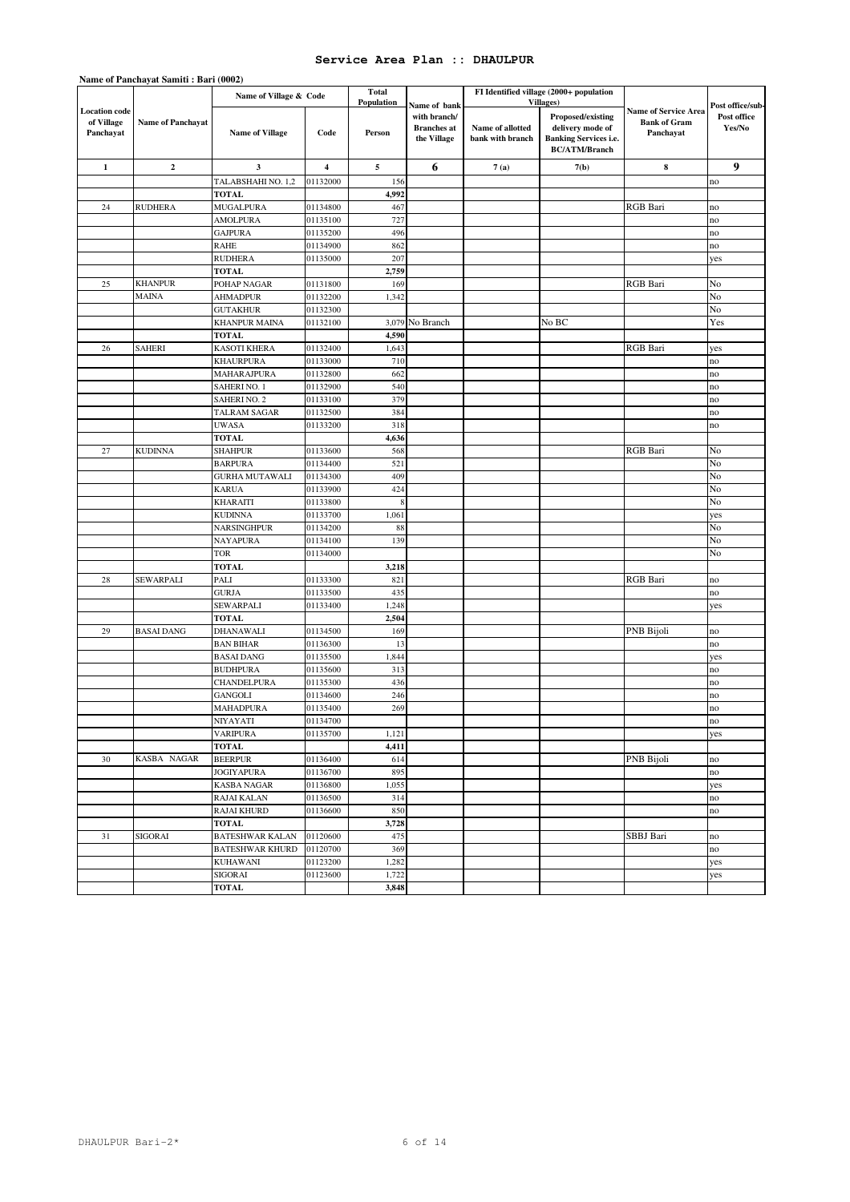|                                                 |                   | Name of Village & Code                 |                         | <b>Total</b><br><b>Population</b> |                                                                   |                                      | FI Identified village (2000+ population<br>Villages)                                          |                                                                 |                                           |
|-------------------------------------------------|-------------------|----------------------------------------|-------------------------|-----------------------------------|-------------------------------------------------------------------|--------------------------------------|-----------------------------------------------------------------------------------------------|-----------------------------------------------------------------|-------------------------------------------|
| <b>Location</b> code<br>of Village<br>Panchayat | Name of Panchayat | <b>Name of Village</b>                 | Code                    | Person                            | Name of bank<br>with branch/<br><b>Branches</b> at<br>the Village | Name of allotted<br>bank with branch | Proposed/existing<br>delivery mode of<br><b>Banking Services i.e.</b><br><b>BC/ATM/Branch</b> | <b>Name of Service Area</b><br><b>Bank of Gram</b><br>Panchayat | Post office/sub-<br>Post office<br>Yes/No |
| $\mathbf{1}$                                    | $\bf{2}$          | $\mathbf{3}$                           | $\overline{\mathbf{4}}$ | 5                                 | 6                                                                 | 7(a)                                 | 7(b)                                                                                          | 8                                                               | 9                                         |
|                                                 |                   | TALABSHAHI NO. 1,2                     | 01132000                | 156                               |                                                                   |                                      |                                                                                               |                                                                 | no                                        |
|                                                 |                   | <b>TOTAL</b>                           |                         | 4,992                             |                                                                   |                                      |                                                                                               |                                                                 |                                           |
| 24                                              | <b>RUDHERA</b>    | <b>MUGALPURA</b>                       | 01134800                | 467                               |                                                                   |                                      |                                                                                               | <b>RGB</b> Bari                                                 | no                                        |
|                                                 |                   | <b>AMOLPURA</b>                        | 01135100                | 727                               |                                                                   |                                      |                                                                                               |                                                                 | no                                        |
|                                                 |                   | <b>GAJPURA</b>                         | 01135200                | 496                               |                                                                   |                                      |                                                                                               |                                                                 | no                                        |
|                                                 |                   | <b>RAHE</b>                            | 01134900                | 862                               |                                                                   |                                      |                                                                                               |                                                                 | no                                        |
|                                                 |                   | <b>RUDHERA</b>                         | 01135000                | 207                               |                                                                   |                                      |                                                                                               |                                                                 | yes                                       |
|                                                 |                   | <b>TOTAL</b>                           |                         | 2,759                             |                                                                   |                                      |                                                                                               |                                                                 |                                           |
| 25                                              | <b>KHANPUR</b>    | POHAP NAGAR                            | 01131800                | 169                               |                                                                   |                                      |                                                                                               | <b>RGB</b> Bari                                                 | No                                        |
|                                                 | <b>MAINA</b>      | <b>AHMADPUR</b>                        | 01132200                | 1,342                             |                                                                   |                                      |                                                                                               |                                                                 | No                                        |
|                                                 |                   | <b>GUTAKHUR</b>                        | 01132300                |                                   |                                                                   |                                      |                                                                                               |                                                                 | No                                        |
|                                                 |                   | <b>KHANPUR MAINA</b>                   | 01132100                | 3,079                             | No Branch                                                         |                                      | No BC                                                                                         |                                                                 | Yes                                       |
|                                                 |                   | <b>TOTAL</b>                           |                         | 4,590                             |                                                                   |                                      |                                                                                               |                                                                 |                                           |
| 26                                              | <b>SAHERI</b>     | <b>KASOTI KHERA</b>                    | 01132400                | 1,643                             |                                                                   |                                      |                                                                                               | <b>RGB</b> Bari                                                 | yes                                       |
|                                                 |                   | <b>KHAURPURA</b><br><b>MAHARAJPURA</b> | 01133000                | 710<br>662                        |                                                                   |                                      |                                                                                               |                                                                 | no                                        |
|                                                 |                   | SAHERINO. 1                            | 01132800<br>01132900    | 540                               |                                                                   |                                      |                                                                                               |                                                                 | no<br>no                                  |
|                                                 |                   | <b>SAHERINO. 2</b>                     | 01133100                | 379                               |                                                                   |                                      |                                                                                               |                                                                 | no                                        |
|                                                 |                   | <b>TALRAM SAGAR</b>                    | 01132500                | 384                               |                                                                   |                                      |                                                                                               |                                                                 | no                                        |
|                                                 |                   | <b>UWASA</b>                           | 01133200                | 318                               |                                                                   |                                      |                                                                                               |                                                                 | no                                        |
|                                                 |                   | <b>TOTAL</b>                           |                         | 4,636                             |                                                                   |                                      |                                                                                               |                                                                 |                                           |
| 27                                              | <b>KUDINNA</b>    | <b>SHAHPUR</b>                         | 01133600                | 568                               |                                                                   |                                      |                                                                                               | <b>RGB</b> Bari                                                 | No                                        |
|                                                 |                   | <b>BARPURA</b>                         | 01134400                | 521                               |                                                                   |                                      |                                                                                               |                                                                 | No                                        |
|                                                 |                   | <b>GURHA MUTAWALI</b>                  | 01134300                | 409                               |                                                                   |                                      |                                                                                               |                                                                 | No                                        |
|                                                 |                   | <b>KARUA</b>                           | 01133900                | 424                               |                                                                   |                                      |                                                                                               |                                                                 | No                                        |
|                                                 |                   | <b>KHARAITI</b>                        | 01133800                | 8                                 |                                                                   |                                      |                                                                                               |                                                                 | No                                        |
|                                                 |                   | <b>KUDINNA</b>                         | 01133700                | 1,061                             |                                                                   |                                      |                                                                                               |                                                                 | yes                                       |
|                                                 |                   | <b>NARSINGHPUR</b>                     | 01134200                | 88                                |                                                                   |                                      |                                                                                               |                                                                 | No                                        |
|                                                 |                   | <b>NAYAPURA</b>                        | 01134100                | 139                               |                                                                   |                                      |                                                                                               |                                                                 | No                                        |
|                                                 |                   | <b>TOR</b>                             | 01134000                |                                   |                                                                   |                                      |                                                                                               |                                                                 | No                                        |
|                                                 |                   | <b>TOTAL</b>                           |                         | 3,218                             |                                                                   |                                      |                                                                                               |                                                                 |                                           |
| 28                                              | SEWARPALI         | PALI                                   | 01133300                | 821                               |                                                                   |                                      |                                                                                               | RGB Bari                                                        | no                                        |
|                                                 |                   | <b>GURJA</b>                           | 01133500                | 435                               |                                                                   |                                      |                                                                                               |                                                                 | no                                        |
|                                                 |                   | SEWARPALI                              | 01133400                | 1,248                             |                                                                   |                                      |                                                                                               |                                                                 | yes                                       |
|                                                 |                   | <b>TOTAL</b>                           |                         | 2,504                             |                                                                   |                                      |                                                                                               |                                                                 |                                           |
| 29                                              | <b>BASAI DANG</b> | <b>DHANAWALI</b><br><b>BAN BIHAR</b>   | 01134500<br>01136300    | 169<br>13                         |                                                                   |                                      |                                                                                               | PNB Bijoli                                                      | no<br>no                                  |
|                                                 |                   | <b>BASAI DANG</b>                      | 01135500                | 1,844                             |                                                                   |                                      |                                                                                               |                                                                 | yes                                       |
|                                                 |                   | <b>BUDHPURA</b>                        | 01135600                | 313                               |                                                                   |                                      |                                                                                               |                                                                 | no                                        |
|                                                 |                   | CHANDELPURA                            | 01135300                | 436                               |                                                                   |                                      |                                                                                               |                                                                 | no                                        |
|                                                 |                   | <b>GANGOLI</b>                         | 01134600                | 246                               |                                                                   |                                      |                                                                                               |                                                                 | no                                        |
|                                                 |                   | <b>MAHADPURA</b>                       | 01135400                | 269                               |                                                                   |                                      |                                                                                               |                                                                 | no                                        |
|                                                 |                   | NIYAYATI                               | 01134700                |                                   |                                                                   |                                      |                                                                                               |                                                                 | no                                        |
|                                                 |                   | <b>VARIPURA</b>                        | 01135700                | 1,121                             |                                                                   |                                      |                                                                                               |                                                                 | yes                                       |
|                                                 |                   | <b>TOTAL</b>                           |                         | 4,411                             |                                                                   |                                      |                                                                                               |                                                                 |                                           |
| 30                                              | KASBA NAGAR       | <b>BEERPUR</b>                         | 01136400                | 614                               |                                                                   |                                      |                                                                                               | PNB Bijoli                                                      | no                                        |
|                                                 |                   | <b>JOGIYAPURA</b>                      | 01136700                | 895                               |                                                                   |                                      |                                                                                               |                                                                 | no                                        |
|                                                 |                   | <b>KASBA NAGAR</b>                     | 01136800                | 1,055                             |                                                                   |                                      |                                                                                               |                                                                 | yes                                       |
|                                                 |                   | <b>RAJAI KALAN</b>                     | 01136500                | 314                               |                                                                   |                                      |                                                                                               |                                                                 | no                                        |
|                                                 |                   | <b>RAJAI KHURD</b>                     | 01136600                | 850                               |                                                                   |                                      |                                                                                               |                                                                 | no                                        |
|                                                 |                   | <b>TOTAL</b>                           |                         | 3,728                             |                                                                   |                                      |                                                                                               |                                                                 |                                           |
| 31                                              | SIGORAI           | <b>BATESHWAR KALAN</b>                 | 01120600                | 475                               |                                                                   |                                      |                                                                                               | SBBJ Bari                                                       | no                                        |
|                                                 |                   | <b>BATESHWAR KHURD</b>                 | 01120700                | 369                               |                                                                   |                                      |                                                                                               |                                                                 | no                                        |
|                                                 |                   | <b>KUHAWANI</b>                        | 01123200                | 1,282                             |                                                                   |                                      |                                                                                               |                                                                 | yes                                       |
|                                                 |                   | SIGORAI                                | 01123600                | 1,722                             |                                                                   |                                      |                                                                                               |                                                                 | yes                                       |
|                                                 |                   | <b>TOTAL</b>                           |                         | 3,848                             |                                                                   |                                      |                                                                                               |                                                                 |                                           |

# **Name of Panchayat Samiti : Bari (0002)**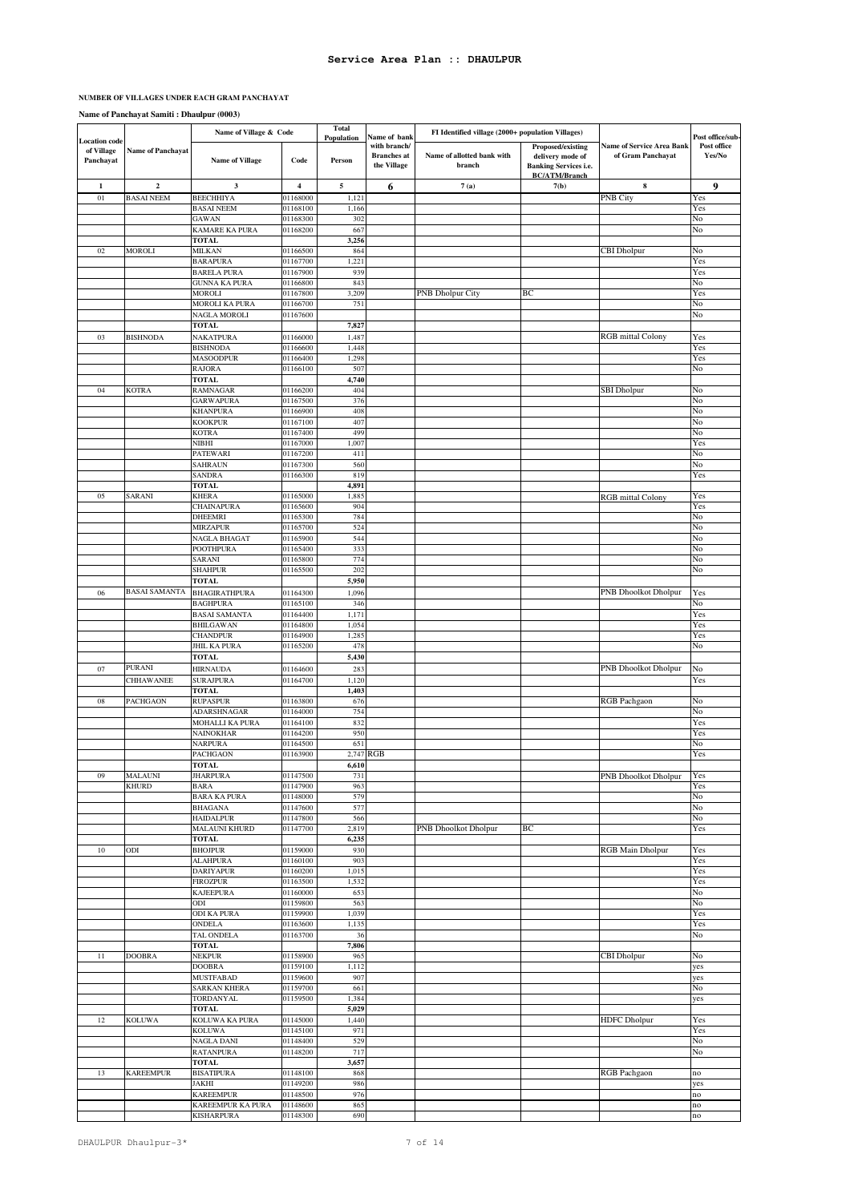#### **NUMBER OF VILLAGES UNDER EACH GRAM PANCHAYAT**

### **Name of Panchayat Samiti : Dhaulpur (0003)**

|                                                 |                          | Name of Village & Code                  |                         | <b>Total</b><br>Population | Name of bank                                      | FI Identified village (2000+ population Villages) |                                                                                               |                                                       | Post office/sub-      |
|-------------------------------------------------|--------------------------|-----------------------------------------|-------------------------|----------------------------|---------------------------------------------------|---------------------------------------------------|-----------------------------------------------------------------------------------------------|-------------------------------------------------------|-----------------------|
| <b>Location code</b><br>of Village<br>Panchayat | <b>Name of Panchayat</b> | <b>Name of Village</b>                  | Code                    | Person                     | with branch/<br><b>Branches</b> at<br>the Village | Name of allotted bank with<br>branch              | Proposed/existing<br>delivery mode of<br><b>Banking Services i.e.</b><br><b>BC/ATM/Branch</b> | <b>Name of Service Area Bank</b><br>of Gram Panchayat | Post office<br>Yes/No |
| $\mathbf{1}$                                    | $\mathbf 2$              | $\mathbf{3}$                            | $\overline{\mathbf{4}}$ | 5                          | 6                                                 | 7(a)                                              | 7(b)                                                                                          | $\bf8$                                                | 9                     |
| $01\,$                                          | <b>BASAI NEEM</b>        | <b>BEECHHIYA</b>                        | 01168000                | 1,121                      |                                                   |                                                   |                                                                                               | <b>PNB City</b>                                       | Yes                   |
|                                                 |                          | <b>BASAI NEEM</b>                       | 01168100                | 1,166                      |                                                   |                                                   |                                                                                               |                                                       | Yes                   |
|                                                 |                          | <b>GAWAN</b><br>KAMARE KA PURA          | 01168300<br>01168200    | 302<br>667                 |                                                   |                                                   |                                                                                               |                                                       | No<br>No              |
|                                                 |                          | <b>TOTAL</b>                            |                         | 3,256                      |                                                   |                                                   |                                                                                               |                                                       |                       |
| $02\,$                                          | <b>MOROLI</b>            | <b>MILKAN</b>                           | 01166500                | 864                        |                                                   |                                                   |                                                                                               | <b>CBI</b> Dholpur                                    | No                    |
|                                                 |                          | <b>BARAPURA</b>                         | 01167700                | 1,221                      |                                                   |                                                   |                                                                                               |                                                       | Yes                   |
|                                                 |                          | <b>BARELA PURA</b>                      | 01167900                | 939                        |                                                   |                                                   |                                                                                               |                                                       | Yes                   |
|                                                 |                          | GUNNA KA PURA<br>MOROLI                 | 01166800<br>01167800    | 843<br>3,209               |                                                   | <b>PNB Dholpur City</b>                           | ВC                                                                                            |                                                       | No<br>Yes             |
|                                                 |                          | MOROLI KA PURA                          | 01166700                | 751                        |                                                   |                                                   |                                                                                               |                                                       | No                    |
|                                                 |                          | NAGLA MOROLI                            | 01167600                |                            |                                                   |                                                   |                                                                                               |                                                       | No                    |
|                                                 |                          | TOTAL                                   |                         | 7,827                      |                                                   |                                                   |                                                                                               |                                                       |                       |
| 03                                              | <b>BISHNODA</b>          | NAKATPURA                               | 01166000                | 1,487                      |                                                   |                                                   |                                                                                               | <b>RGB</b> mittal Colony                              | Yes                   |
|                                                 |                          | <b>BISHNODA</b><br><b>MASOODPUR</b>     | 01166600<br>01166400    | 1,448<br>1,298             |                                                   |                                                   |                                                                                               |                                                       | Yes<br>Yes            |
|                                                 |                          | RAJORA                                  | 01166100                | 507                        |                                                   |                                                   |                                                                                               |                                                       | No                    |
|                                                 |                          | <b>TOTAL</b>                            |                         | 4,740                      |                                                   |                                                   |                                                                                               |                                                       |                       |
| 04                                              | <b>KOTRA</b>             | <b>RAMNAGAR</b>                         | 01166200                | 404                        |                                                   |                                                   |                                                                                               | <b>SBI</b> Dholpur                                    | No                    |
|                                                 |                          | <b>GARWAPURA</b>                        | 01167500                | 376                        |                                                   |                                                   |                                                                                               |                                                       | No                    |
|                                                 |                          | KHANPURA<br><b>KOOKPUR</b>              | 01166900<br>01167100    | 408<br>407                 |                                                   |                                                   |                                                                                               |                                                       | No<br>No              |
|                                                 |                          | <b>KOTRA</b>                            | 01167400                | 499                        |                                                   |                                                   |                                                                                               |                                                       | No                    |
|                                                 |                          | NIBHI                                   | 01167000                | 1,007                      |                                                   |                                                   |                                                                                               |                                                       | Yes                   |
|                                                 |                          | PATEWARI                                | 01167200                | 411                        |                                                   |                                                   |                                                                                               |                                                       | No                    |
|                                                 |                          | SAHRAUN<br>SANDRA                       | 01167300<br>01166300    | 560<br>819                 |                                                   |                                                   |                                                                                               |                                                       | No<br>Yes             |
|                                                 |                          | <b>TOTAL</b>                            |                         | 4,891                      |                                                   |                                                   |                                                                                               |                                                       |                       |
| 05                                              | SARANI                   | KHERA                                   | 01165000                | 1,885                      |                                                   |                                                   |                                                                                               | <b>RGB</b> mittal Colony                              | Yes                   |
|                                                 |                          | CHAINAPURA                              | 01165600                | 904                        |                                                   |                                                   |                                                                                               |                                                       | Yes                   |
|                                                 |                          | DHEEMRI                                 | 01165300                | 784                        |                                                   |                                                   |                                                                                               |                                                       | No                    |
|                                                 |                          | MIRZAPUR<br>NAGLA BHAGAT                | 01165700<br>01165900    | 524<br>544                 |                                                   |                                                   |                                                                                               |                                                       | No<br>No              |
|                                                 |                          | POOTHPURA                               | 01165400                | 333                        |                                                   |                                                   |                                                                                               |                                                       | No                    |
|                                                 |                          | SARANI                                  | 01165800                | 774                        |                                                   |                                                   |                                                                                               |                                                       | No                    |
|                                                 |                          | <b>SHAHPUR</b>                          | 01165500                | 202                        |                                                   |                                                   |                                                                                               |                                                       | No                    |
|                                                 |                          | <b>TOTAL</b>                            |                         | 5,950                      |                                                   |                                                   |                                                                                               |                                                       |                       |
| 06                                              | <b>BASAI SAMANTA</b>     | <b>BHAGIRATHPURA</b>                    | 01164300                | 1,096                      |                                                   |                                                   |                                                                                               | PNB Dhoolkot Dholpur                                  | Yes                   |
|                                                 |                          | <b>BAGHPURA</b><br><b>BASAI SAMANTA</b> | 01165100<br>01164400    | 346<br>1,171               |                                                   |                                                   |                                                                                               |                                                       | No<br>Yes             |
|                                                 |                          | <b>BHILGAWAN</b>                        | 01164800                | 1,054                      |                                                   |                                                   |                                                                                               |                                                       | Yes                   |
|                                                 |                          | <b>CHANDPUR</b>                         | 01164900                | 1,285                      |                                                   |                                                   |                                                                                               |                                                       | Yes                   |
|                                                 |                          | <b>JHIL KA PURA</b>                     | 01165200                | 478                        |                                                   |                                                   |                                                                                               |                                                       | No                    |
|                                                 | PURANI                   | TOTAL                                   |                         | 5,430                      |                                                   |                                                   |                                                                                               |                                                       |                       |
| 07                                              | <b>CHHAWANEE</b>         | <b>HIRNAUDA</b><br><b>SURAJPURA</b>     | 01164600<br>01164700    | 283<br>1,120               |                                                   |                                                   |                                                                                               | PNB Dhoolkot Dholpur                                  | No<br>Yes             |
|                                                 |                          | TOTAL                                   |                         | 1,403                      |                                                   |                                                   |                                                                                               |                                                       |                       |
| ${\bf 08}$                                      | PACHGAON                 | <b>RUPASPUR</b>                         | 01163800                | 676                        |                                                   |                                                   |                                                                                               | RGB Pachgaon                                          | No                    |
|                                                 |                          | ADARSHNAGAR                             | 01164000                | 754                        |                                                   |                                                   |                                                                                               |                                                       | No                    |
|                                                 |                          | MOHALLI KA PURA<br><b>NAINOKHAR</b>     | 01164100                | 832<br>950                 |                                                   |                                                   |                                                                                               |                                                       | Yes                   |
|                                                 |                          | NARPURA                                 | 01164200<br>01164500    | 651                        |                                                   |                                                   |                                                                                               |                                                       | Yes<br>No             |
|                                                 |                          | PACHGAON                                | 01163900                |                            | 2,747 RGB                                         |                                                   |                                                                                               |                                                       | Yes                   |
|                                                 |                          | TOTAL                                   |                         | 6,610                      |                                                   |                                                   |                                                                                               |                                                       |                       |
| 09                                              | MALAUNI                  | <b>JHARPURA</b>                         | 01147500                | 731                        |                                                   |                                                   |                                                                                               | PNB Dhoolkot Dholpur                                  | Yes                   |
|                                                 | <b>KHURD</b>             | <b>BARA</b><br><b>BARA KA PURA</b>      | 01147900<br>01148000    | 963<br>579                 |                                                   |                                                   |                                                                                               |                                                       | Yes<br>No             |
|                                                 |                          | <b>BHAGANA</b>                          | 01147600                | 577                        |                                                   |                                                   |                                                                                               |                                                       | No                    |
|                                                 |                          | <b>HAIDALPUR</b>                        | 01147800                | 566                        |                                                   |                                                   |                                                                                               |                                                       | No                    |
|                                                 |                          | <b>MALAUNI KHURD</b>                    | 01147700                | 2,819                      |                                                   | <b>PNB</b> Dhoolkot Dholpur                       | BC                                                                                            |                                                       | Yes                   |
| 10                                              | ODI                      | <b>TOTAL</b><br><b>BHOJPUR</b>          | 01159000                | 6,235<br>930               |                                                   |                                                   |                                                                                               | <b>RGB</b> Main Dholpur                               | Yes                   |
|                                                 |                          | <b>ALAHPURA</b>                         | 01160100                | 903                        |                                                   |                                                   |                                                                                               |                                                       | Yes                   |
|                                                 |                          | <b>DARIYAPUR</b>                        | 01160200                | 1,015                      |                                                   |                                                   |                                                                                               |                                                       | Yes                   |
|                                                 |                          | <b>FIROZPUR</b>                         | 01163500                | 1,532                      |                                                   |                                                   |                                                                                               |                                                       | Yes                   |
|                                                 |                          | <b>KAJEEPURA</b>                        | 01160000                | 653                        |                                                   |                                                   |                                                                                               |                                                       | No                    |
|                                                 |                          | ODI<br>ODI KA PURA                      | 01159800<br>01159900    | 563<br>1,039               |                                                   |                                                   |                                                                                               |                                                       | No<br>Yes             |
|                                                 |                          | ONDELA                                  | 01163600                | 1,135                      |                                                   |                                                   |                                                                                               |                                                       | Yes                   |
|                                                 |                          | TAL ONDELA                              | 01163700                | 36                         |                                                   |                                                   |                                                                                               |                                                       | No                    |
|                                                 |                          | <b>TOTAL</b>                            |                         | 7,806                      |                                                   |                                                   |                                                                                               |                                                       |                       |
| 11                                              | <b>DOOBRA</b>            | <b>NEKPUR</b>                           | 01158900                | 965                        |                                                   |                                                   |                                                                                               | CBI Dholpur                                           | No                    |
|                                                 |                          | <b>DOOBRA</b><br><b>MUSTFABAD</b>       | 01159100<br>01159600    | 1,112<br>907               |                                                   |                                                   |                                                                                               |                                                       | yes<br>yes            |
|                                                 |                          | SARKAN KHERA                            | 01159700                | 661                        |                                                   |                                                   |                                                                                               |                                                       | No                    |
|                                                 |                          | TORDANYAL                               | 01159500                | 1,384                      |                                                   |                                                   |                                                                                               |                                                       | yes                   |
|                                                 |                          | <b>TOTAL</b>                            |                         | 5,029                      |                                                   |                                                   |                                                                                               |                                                       |                       |
| $12 \,$                                         | <b>KOLUWA</b>            | KOLUWA KA PURA                          | 01145000                | 1,440                      |                                                   |                                                   |                                                                                               | <b>HDFC</b> Dholpur                                   | Yes                   |
|                                                 |                          | <b>KOLUWA</b><br>NAGLA DANI             | 01145100<br>01148400    | 971<br>529                 |                                                   |                                                   |                                                                                               |                                                       | Yes<br>No             |
|                                                 |                          | <b>RATANPURA</b>                        | 01148200                | 717                        |                                                   |                                                   |                                                                                               |                                                       | No                    |
|                                                 |                          | <b>TOTAL</b>                            |                         | 3,657                      |                                                   |                                                   |                                                                                               |                                                       |                       |
| 13                                              | <b>KAREEMPUR</b>         | <b>BISATIPURA</b>                       | 01148100                | 868                        |                                                   |                                                   |                                                                                               | RGB Pachgaon                                          | no                    |
|                                                 |                          | JAKHI                                   | 01149200                | 986<br>976                 |                                                   |                                                   |                                                                                               |                                                       | yes                   |
|                                                 |                          | <b>KAREEMPUR</b><br>KAREEMPUR KA PURA   | 01148500<br>01148600    | 865                        |                                                   |                                                   |                                                                                               |                                                       | no<br>no              |
|                                                 |                          | <b>KISHARPURA</b>                       | 01148300                | 690                        |                                                   |                                                   |                                                                                               |                                                       | no                    |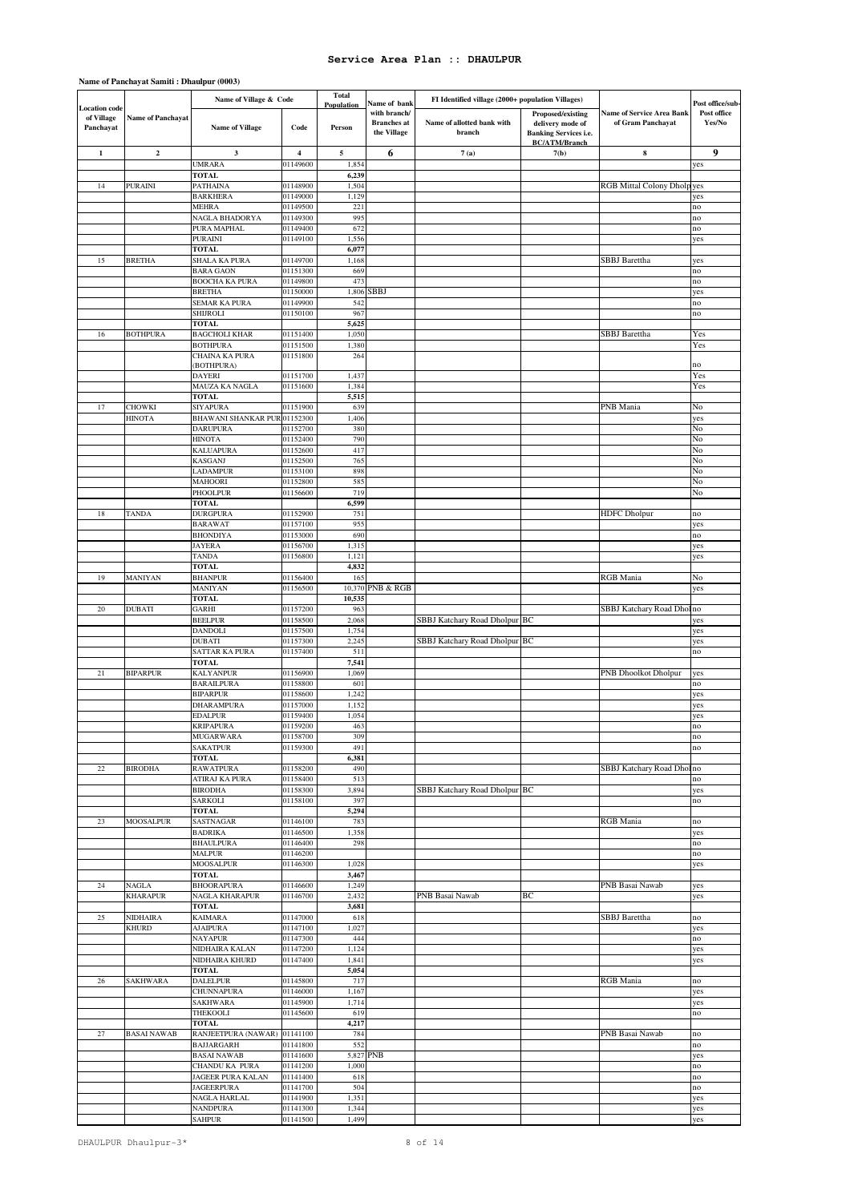|                                          |                          | Name of Village & Code                   |                      | Total                    |                                                                   | FI Identified village (2000+ population Villages) |                                                                       |                                                       |                                           |
|------------------------------------------|--------------------------|------------------------------------------|----------------------|--------------------------|-------------------------------------------------------------------|---------------------------------------------------|-----------------------------------------------------------------------|-------------------------------------------------------|-------------------------------------------|
| Location code<br>of Village<br>Panchayat | <b>Name of Panchayat</b> | <b>Name of Village</b>                   | Code                 | Population<br>Person     | Name of bank<br>with branch/<br><b>Branches</b> at<br>the Village | Name of allotted bank with<br>branch              | Proposed/existing<br>delivery mode of<br><b>Banking Services i.e.</b> | <b>Name of Service Area Bank</b><br>of Gram Panchayat | Post office/sub-<br>Post office<br>Yes/No |
| $\mathbf{1}$                             | $\mathbf 2$              | $\mathbf{3}$                             | $\boldsymbol{4}$     | $\sqrt{5}$               | 6                                                                 | 7(a)                                              | <b>BC/ATM/Branch</b><br>7(b)                                          | 8                                                     | 9                                         |
|                                          |                          | <b>UMRARA</b>                            | 01149600             | 1,854                    |                                                                   |                                                   |                                                                       |                                                       | yes                                       |
|                                          |                          | <b>TOTAL</b>                             |                      | 6,239                    |                                                                   |                                                   |                                                                       |                                                       |                                           |
| 14                                       | <b>PURAINI</b>           | PATHAINA                                 | 01148900             | 1,504                    |                                                                   |                                                   |                                                                       | <b>RGB</b> Mittal Colony Dholp yes                    |                                           |
|                                          |                          | <b>BARKHERA</b>                          | 01149000             | 1,129                    |                                                                   |                                                   |                                                                       |                                                       | yes                                       |
|                                          |                          | MEHRA                                    | 01149500             | 221                      |                                                                   |                                                   |                                                                       |                                                       | no                                        |
|                                          |                          | NAGLA BHADORYA                           | 01149300             | 995                      |                                                                   |                                                   |                                                                       |                                                       | no                                        |
|                                          |                          | PURA MAPHAL<br><b>PURAINI</b>            | 01149400<br>01149100 | 672<br>1,556             |                                                                   |                                                   |                                                                       |                                                       | no<br>yes                                 |
|                                          |                          | <b>TOTAL</b>                             |                      | 6,077                    |                                                                   |                                                   |                                                                       |                                                       |                                           |
| 15                                       | <b>BRETHA</b>            | <b>SHALA KA PURA</b>                     | 01149700             | 1,168                    |                                                                   |                                                   |                                                                       | <b>SBBJ</b> Barettha                                  | yes                                       |
|                                          |                          | <b>BARA GAON</b>                         | 01151300             | 669                      |                                                                   |                                                   |                                                                       |                                                       | no                                        |
|                                          |                          | <b>BOOCHA KA PURA</b>                    | 01149800             | 473                      |                                                                   |                                                   |                                                                       |                                                       | no                                        |
|                                          |                          | <b>BRETHA</b>                            | 01150000             | 1,806                    | SBBJ                                                              |                                                   |                                                                       |                                                       | yes                                       |
|                                          |                          | SEMAR KA PURA<br><b>SHIJROLI</b>         | 01149900<br>01150100 | 542<br>967               |                                                                   |                                                   |                                                                       |                                                       | no<br>$\mathop{\rm no}\nolimits$          |
|                                          |                          | <b>TOTAL</b>                             |                      | 5,625                    |                                                                   |                                                   |                                                                       |                                                       |                                           |
| 16                                       | <b>BOTHPURA</b>          | <b>BAGCHOLI KHAR</b>                     | 01151400             | 1,050                    |                                                                   |                                                   |                                                                       | <b>SBBJ</b> Barettha                                  | Yes                                       |
|                                          |                          | <b>BOTHPURA</b>                          | 01151500             | 1,380                    |                                                                   |                                                   |                                                                       |                                                       | Yes                                       |
|                                          |                          | CHAINA KA PURA                           | 01151800             | 264                      |                                                                   |                                                   |                                                                       |                                                       | no                                        |
|                                          |                          | (BOTHPURA)<br><b>DAYERI</b>              | 01151700             | 1,43                     |                                                                   |                                                   |                                                                       |                                                       | Yes                                       |
|                                          |                          | MAUZA KA NAGLA                           | 01151600             | 1,384                    |                                                                   |                                                   |                                                                       |                                                       | Yes                                       |
|                                          |                          | <b>TOTAL</b>                             |                      | 5,515                    |                                                                   |                                                   |                                                                       |                                                       |                                           |
| 17                                       | CHOWKI                   | <b>SIYAPURA</b>                          | 01151900             | 639                      |                                                                   |                                                   |                                                                       | PNB Mania                                             | No                                        |
|                                          | <b>HINOTA</b>            | <b>BHAWANI SHANKAR PUR 01152300</b>      |                      | 1,406                    |                                                                   |                                                   |                                                                       |                                                       | yes                                       |
|                                          |                          | <b>DARUPURA</b><br><b>HINOTA</b>         | 01152700<br>01152400 | 380<br>790               |                                                                   |                                                   |                                                                       |                                                       | No<br>No                                  |
|                                          |                          | KALUAPURA                                | 01152600             | 417                      |                                                                   |                                                   |                                                                       |                                                       | No                                        |
|                                          |                          | <b>KASGANJ</b>                           | 01152500             | 765                      |                                                                   |                                                   |                                                                       |                                                       | No                                        |
|                                          |                          | <b>LADAMPUR</b>                          | 01153100             | 898                      |                                                                   |                                                   |                                                                       |                                                       | No                                        |
|                                          |                          | MAHOORI                                  | 01152800             | 585                      |                                                                   |                                                   |                                                                       |                                                       | No                                        |
|                                          |                          | PHOOLPUR<br><b>TOTAL</b>                 | 01156600             | 719<br>6,599             |                                                                   |                                                   |                                                                       |                                                       | No                                        |
| 18                                       | <b>TANDA</b>             | <b>DURGPURA</b>                          | 01152900             | 751                      |                                                                   |                                                   |                                                                       | <b>HDFC</b> Dholpur                                   | no                                        |
|                                          |                          | <b>BARAWAT</b>                           | 01157100             | 955                      |                                                                   |                                                   |                                                                       |                                                       | yes                                       |
|                                          |                          | <b>BHONDIYA</b>                          | 01153000             | 690                      |                                                                   |                                                   |                                                                       |                                                       | no                                        |
|                                          |                          | <b>JAYERA</b>                            | 01156700             | 1,315                    |                                                                   |                                                   |                                                                       |                                                       | yes                                       |
|                                          |                          | <b>TANDA</b>                             | 01156800             | 1,121                    |                                                                   |                                                   |                                                                       |                                                       | yes                                       |
| 19                                       | MANIYAN                  | <b>TOTAL</b><br><b>BHANPUR</b>           | 01156400             | 4,832<br>16 <sup>2</sup> |                                                                   |                                                   |                                                                       | <b>RGB</b> Mania                                      | No                                        |
|                                          |                          | MANIYAN                                  | 01156500             | 10,370                   | PNB & RGB                                                         |                                                   |                                                                       |                                                       | yes                                       |
|                                          |                          | TOTAL                                    |                      | 10,535                   |                                                                   |                                                   |                                                                       |                                                       |                                           |
| 20                                       | <b>DUBATI</b>            | GARHI                                    | 01157200             | 963                      |                                                                   |                                                   |                                                                       | SBBJ Katchary Road Dhol                               | no                                        |
|                                          |                          | <b>BEELPUR</b>                           | 01158500             | 2,068                    |                                                                   | SBBJ Katchary Road Dholpur BC                     |                                                                       |                                                       | yes                                       |
|                                          |                          | <b>DANDOLI</b><br><b>DUBATI</b>          | 01157500<br>01157300 | 1,754<br>2,245           |                                                                   |                                                   |                                                                       |                                                       | yes                                       |
|                                          |                          | SATTAR KA PURA                           | 01157400             | 511                      |                                                                   | SBBJ Katchary Road Dholpur BC                     |                                                                       |                                                       | yes<br>no                                 |
|                                          |                          | <b>TOTAL</b>                             |                      | 7,541                    |                                                                   |                                                   |                                                                       |                                                       |                                           |
| 21                                       | <b>BIPARPUR</b>          | <b>KALYANPUR</b>                         | 01156900             | 1,069                    |                                                                   |                                                   |                                                                       | <b>PNB</b> Dhoolkot Dholpur                           | yes                                       |
|                                          |                          | <b>BARAILPURA</b>                        | 01158800             | 601                      |                                                                   |                                                   |                                                                       |                                                       | no                                        |
|                                          |                          | <b>BIPARPUR</b>                          | 01158600             | 1,242                    |                                                                   |                                                   |                                                                       |                                                       | yes                                       |
|                                          |                          | DHARAMPURA<br><b>EDALPUR</b>             | 01157000<br>01159400 | 1,152<br>1,054           |                                                                   |                                                   |                                                                       |                                                       | yes<br>yes                                |
|                                          |                          | <b>KRIPAPURA</b>                         | 01159200             | 463                      |                                                                   |                                                   |                                                                       |                                                       | ٦Ô                                        |
|                                          |                          | <b>MUGARWARA</b>                         | 01158700             | 309                      |                                                                   |                                                   |                                                                       |                                                       | no                                        |
|                                          |                          | <b>SAKATPUR</b>                          | 01159300             | 491                      |                                                                   |                                                   |                                                                       |                                                       | no                                        |
|                                          |                          | <b>TOTAL</b>                             |                      | 6,381                    |                                                                   |                                                   |                                                                       |                                                       |                                           |
| $22\,$                                   | <b>BIRODHA</b>           | <b>RAWATPURA</b><br>ATIRAJ KA PURA       | 01158200<br>01158400 | 490<br>513               |                                                                   |                                                   |                                                                       | SBBJ Katchary Road Dhol no                            | no                                        |
|                                          |                          | <b>BIRODHA</b>                           | 01158300             | 3,894                    |                                                                   | SBBJ Katchary Road Dholpur BC                     |                                                                       |                                                       | yes                                       |
|                                          |                          | SARKOLI                                  | 01158100             | 397                      |                                                                   |                                                   |                                                                       |                                                       | no                                        |
|                                          |                          | <b>TOTAL</b>                             |                      | 5,294                    |                                                                   |                                                   |                                                                       |                                                       |                                           |
| 23                                       | <b>MOOSALPUR</b>         | <b>SASTNAGAR</b>                         | 01146100             | 783                      |                                                                   |                                                   |                                                                       | RGB Mania                                             | no                                        |
|                                          |                          | <b>BADRIKA</b><br><b>BHAULPURA</b>       | 01146500<br>01146400 | 1,358<br>298             |                                                                   |                                                   |                                                                       |                                                       | yes<br>no                                 |
|                                          |                          | <b>MALPUR</b>                            | 01146200             |                          |                                                                   |                                                   |                                                                       |                                                       | no                                        |
|                                          |                          | MOOSALPUR                                | 01146300             | 1,028                    |                                                                   |                                                   |                                                                       |                                                       | yes                                       |
|                                          |                          | <b>TOTAL</b>                             |                      | 3,467                    |                                                                   |                                                   |                                                                       |                                                       |                                           |
| 24                                       | NAGLA                    | <b>BHOORAPURA</b>                        | 01146600             | 1,249                    |                                                                   |                                                   |                                                                       | PNB Basai Nawab                                       | yes                                       |
|                                          | <b>KHARAPUR</b>          | <b>NAGLA KHARAPUR</b><br><b>TOTAL</b>    | 01146700             | 2,432<br>3,681           |                                                                   | PNB Basai Nawab                                   | ВC                                                                    |                                                       | yes                                       |
| 25                                       | NIDHAIRA                 | <b>KAIMARA</b>                           | 01147000             | 618                      |                                                                   |                                                   |                                                                       | SBBJ Barettha                                         | no                                        |
|                                          | <b>KHURD</b>             | <b>AJAIPURA</b>                          | 01147100             | 1,027                    |                                                                   |                                                   |                                                                       |                                                       | yes                                       |
|                                          |                          | <b>NAYAPUR</b>                           | 01147300             | 444                      |                                                                   |                                                   |                                                                       |                                                       | no                                        |
|                                          |                          | NIDHAIRA KALAN                           | 01147200             | 1,124                    |                                                                   |                                                   |                                                                       |                                                       | yes                                       |
|                                          |                          | NIDHAIRA KHURD<br><b>TOTAL</b>           | 01147400             | 1,841<br>5,054           |                                                                   |                                                   |                                                                       |                                                       | yes                                       |
| 26                                       | SAKHWARA                 | <b>DALELPUR</b>                          | 01145800             | 717                      |                                                                   |                                                   |                                                                       | RGB Mania                                             | $\mathbf{no}$                             |
|                                          |                          | CHUNNAPURA                               | 01146000             | 1,167                    |                                                                   |                                                   |                                                                       |                                                       | yes                                       |
|                                          |                          | <b>SAKHWARA</b>                          | 01145900             | 1,714                    |                                                                   |                                                   |                                                                       |                                                       | yes                                       |
|                                          |                          | THEKOOLI                                 | 01145600             | 619                      |                                                                   |                                                   |                                                                       |                                                       | $\mathbf{no}$                             |
|                                          |                          | <b>TOTAL</b>                             |                      | 4,217                    |                                                                   |                                                   |                                                                       |                                                       |                                           |
| 27                                       | <b>BASAI NAWAB</b>       | RANJEETPURA (NAWAR)<br><b>BAJJARGARH</b> | 01141100<br>01141800 | 784<br>552               |                                                                   |                                                   |                                                                       | PNB Basai Nawab                                       | no<br>no                                  |
|                                          |                          | <b>BASAI NAWAB</b>                       | 01141600             |                          | 5,827 PNB                                                         |                                                   |                                                                       |                                                       | yes                                       |
|                                          |                          | CHANDU KA PURA                           | 01141200             | 1,000                    |                                                                   |                                                   |                                                                       |                                                       | no                                        |
|                                          |                          | JAGEER PURA KALAN                        | 01141400             | 618                      |                                                                   |                                                   |                                                                       |                                                       | no                                        |
|                                          |                          | <b>JAGEERPURA</b>                        | 01141700             | 504                      |                                                                   |                                                   |                                                                       |                                                       | no                                        |
|                                          |                          | NAGLA HARLAL<br><b>NANDPURA</b>          | 01141900<br>01141300 | 1,351<br>1,344           |                                                                   |                                                   |                                                                       |                                                       | yes<br>yes                                |
|                                          |                          | <b>SAHPUR</b>                            | 01141500             | 1,499                    |                                                                   |                                                   |                                                                       |                                                       | yes                                       |

### **Name of Panchayat Samiti : Dhaulpur (0003)**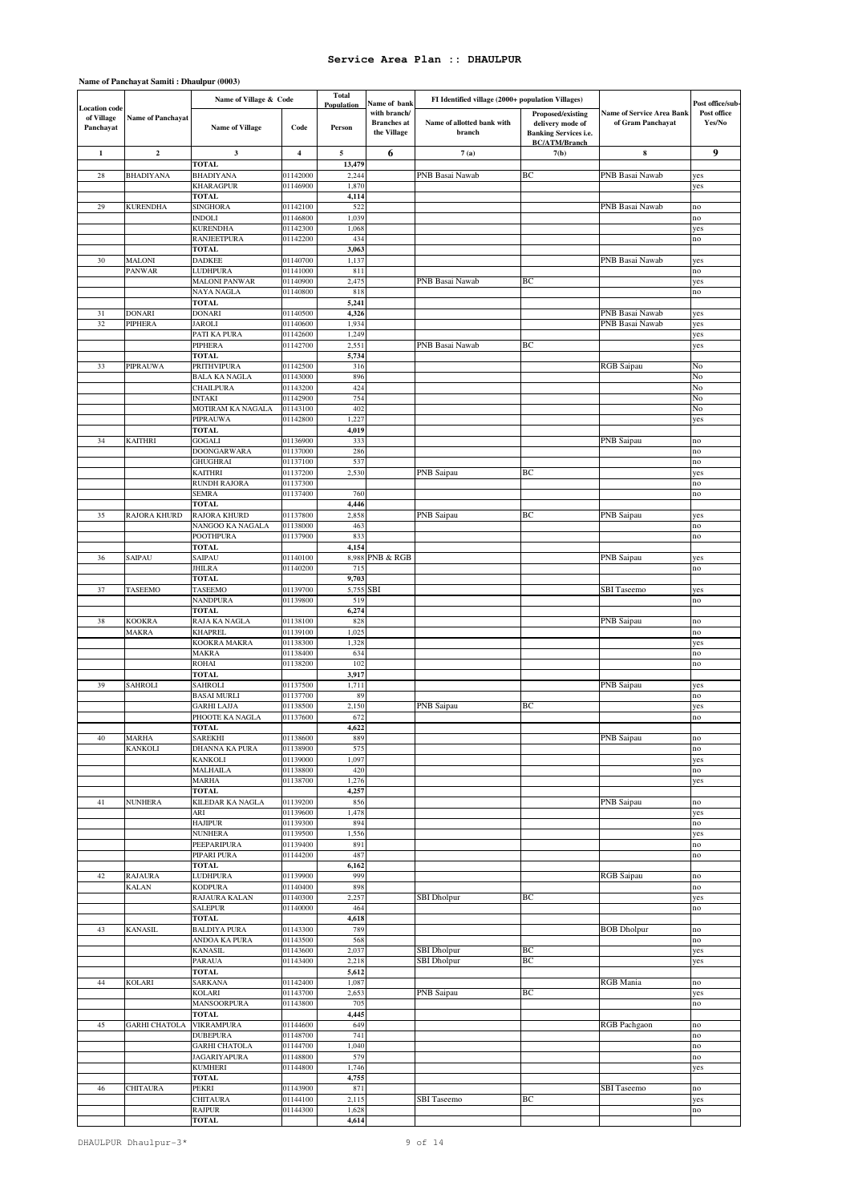|                                          |                          | Name of Village & Code                  |                      | <b>Total</b>         |                                                                   | FI Identified village (2000+ population Villages) |                                                                                               |                                                       |                                           |
|------------------------------------------|--------------------------|-----------------------------------------|----------------------|----------------------|-------------------------------------------------------------------|---------------------------------------------------|-----------------------------------------------------------------------------------------------|-------------------------------------------------------|-------------------------------------------|
| Location code<br>of Village<br>Panchayat | <b>Name of Panchayat</b> | <b>Name of Village</b>                  | Code                 | Population<br>Person | Name of bank<br>with branch/<br><b>Branches</b> at<br>the Village | Name of allotted bank with<br>branch              | Proposed/existing<br>delivery mode of<br><b>Banking Services i.e.</b><br><b>BC/ATM/Branch</b> | <b>Name of Service Area Bank</b><br>of Gram Panchayat | Post office/sub-<br>Post office<br>Yes/No |
| $\mathbf{1}$                             | $\overline{2}$           | $\mathbf{3}$                            | $\overline{4}$       | 5                    | 6                                                                 | 7(a)                                              | 7(b)                                                                                          | ${\bf 8}$                                             | 9                                         |
|                                          |                          | <b>TOTAL</b>                            |                      | 13,479               |                                                                   |                                                   |                                                                                               |                                                       |                                           |
| 28                                       | <b>BHADIYANA</b>         | <b>BHADIYANA</b><br><b>KHARAGPUR</b>    | 01142000<br>01146900 | 2,244<br>1,870       |                                                                   | PNB Basai Nawab                                   | BC                                                                                            | PNB Basai Nawab                                       | yes<br>yes                                |
|                                          |                          | <b>TOTAL</b>                            |                      | 4,114                |                                                                   |                                                   |                                                                                               |                                                       |                                           |
| 29                                       | <b>KURENDHA</b>          | <b>SINGHORA</b>                         | 01142100             | 522                  |                                                                   |                                                   |                                                                                               | PNB Basai Nawab                                       | no                                        |
|                                          |                          | <b>INDOLI</b>                           | 01146800             | 1,039                |                                                                   |                                                   |                                                                                               |                                                       | no                                        |
|                                          |                          | <b>KURENDHA</b>                         | 01142300             | 1,068                |                                                                   |                                                   |                                                                                               |                                                       | yes                                       |
|                                          |                          | <b>RANJEETPURA</b>                      | 01142200             | 434                  |                                                                   |                                                   |                                                                                               |                                                       | no                                        |
|                                          |                          | TOTAL                                   |                      | 3,063                |                                                                   |                                                   |                                                                                               |                                                       |                                           |
| 30                                       | MALONI<br>PANWAR         | <b>DADKEE</b><br><b>LUDHPURA</b>        | 01140700<br>01141000 | 1,137<br>811         |                                                                   |                                                   |                                                                                               | PNB Basai Nawab                                       | yes<br>no                                 |
|                                          |                          | <b>MALONI PANWAR</b>                    | 01140900             | 2,475                |                                                                   | PNB Basai Nawab                                   | BC                                                                                            |                                                       | yes                                       |
|                                          |                          | NAYA NAGLA                              | 01140800             | 818                  |                                                                   |                                                   |                                                                                               |                                                       | no                                        |
|                                          |                          | TOTAL                                   |                      | 5,241                |                                                                   |                                                   |                                                                                               |                                                       |                                           |
| 31                                       | <b>DONARI</b>            | <b>DONARI</b>                           | 01140500             | 4,326                |                                                                   |                                                   |                                                                                               | PNB Basai Nawab                                       | yes                                       |
| 32                                       | PIPHERA                  | <b>JAROLI</b>                           | 01140600             | 1,934                |                                                                   |                                                   |                                                                                               | PNB Basai Nawab                                       | yes                                       |
|                                          |                          | PATI KA PURA                            | 01142600             | 1,249                |                                                                   |                                                   |                                                                                               |                                                       | yes                                       |
|                                          |                          | PIPHERA<br><b>TOTAL</b>                 | 01142700             | 2,551<br>5,734       |                                                                   | PNB Basai Nawab                                   | BC                                                                                            |                                                       | yes                                       |
| 33                                       | <b>PIPRAUWA</b>          | <b>PRITHVIPURA</b>                      | 01142500             | 316                  |                                                                   |                                                   |                                                                                               | RGB Saipau                                            | No                                        |
|                                          |                          | <b>BALA KA NAGLA</b>                    | 01143000             | 896                  |                                                                   |                                                   |                                                                                               |                                                       | No                                        |
|                                          |                          | CHAILPURA                               | 01143200             | 424                  |                                                                   |                                                   |                                                                                               |                                                       | No                                        |
|                                          |                          | <b>INTAKI</b>                           | 01142900             | 754                  |                                                                   |                                                   |                                                                                               |                                                       | No                                        |
|                                          |                          | MOTIRAM KA NAGALA                       | 01143100             | 402                  |                                                                   |                                                   |                                                                                               |                                                       | No                                        |
|                                          |                          | PIPRAUWA                                | 01142800             | 1,227                |                                                                   |                                                   |                                                                                               |                                                       | yes                                       |
| 34                                       | <b>KAITHRI</b>           | <b>TOTAL</b><br>GOGALI                  | 01136900             | 4,019<br>333         |                                                                   |                                                   |                                                                                               | PNB Saipau                                            |                                           |
|                                          |                          | <b>DOONGARWARA</b>                      | 01137000             | 286                  |                                                                   |                                                   |                                                                                               |                                                       | no<br>no                                  |
|                                          |                          | <b>GHUGHRAI</b>                         | 01137100             | 537                  |                                                                   |                                                   |                                                                                               |                                                       | no                                        |
|                                          |                          | <b>KAITHRI</b>                          | 01137200             | 2,530                |                                                                   | PNB Saipau                                        | BC                                                                                            |                                                       | yes                                       |
|                                          |                          | <b>RUNDH RAJORA</b>                     | 01137300             |                      |                                                                   |                                                   |                                                                                               |                                                       | no                                        |
|                                          |                          | SEMRA                                   | 01137400             | 760                  |                                                                   |                                                   |                                                                                               |                                                       | no                                        |
|                                          |                          | <b>TOTAL</b>                            |                      | 4,446                |                                                                   |                                                   |                                                                                               |                                                       |                                           |
| 35                                       | RAJORA KHURD             | <b>RAJORA KHURD</b><br>NANGOO KA NAGALA | 01137800<br>01138000 | 2,858<br>463         |                                                                   | PNB Saipau                                        | BC                                                                                            | PNB Saipau                                            | yes<br>no                                 |
|                                          |                          | <b>POOTHPURA</b>                        | 01137900             | 833                  |                                                                   |                                                   |                                                                                               |                                                       | no                                        |
|                                          |                          | <b>TOTAL</b>                            |                      | 4,154                |                                                                   |                                                   |                                                                                               |                                                       |                                           |
| 36                                       | SAIPAU                   | SAIPAU                                  | 01140100             | 8,988                | <b>PNB &amp; RGB</b>                                              |                                                   |                                                                                               | PNB Saipau                                            | yes                                       |
|                                          |                          | <b>JHILRA</b>                           | 01140200             | 715                  |                                                                   |                                                   |                                                                                               |                                                       | no                                        |
|                                          |                          | <b>TOTAL</b>                            |                      | 9,703                |                                                                   |                                                   |                                                                                               |                                                       |                                           |
| 37                                       | TASEEMO                  | <b>TASEEMO</b><br><b>NANDPURA</b>       | 01139700<br>01139800 | 5,755<br>519         | <b>SBI</b>                                                        |                                                   |                                                                                               | <b>SBI</b> Taseemo                                    | yes                                       |
|                                          |                          | TOTAL                                   |                      | 6,274                |                                                                   |                                                   |                                                                                               |                                                       | no                                        |
| 38                                       | <b>KOOKRA</b>            | RAJA KA NAGLA                           | 01138100             | 828                  |                                                                   |                                                   |                                                                                               | PNB Saipau                                            | no                                        |
|                                          | <b>MAKRA</b>             | <b>KHAPREL</b>                          | 01139100             | 1,025                |                                                                   |                                                   |                                                                                               |                                                       | no                                        |
|                                          |                          | KOOKRA MAKRA                            | 01138300             | 1,328                |                                                                   |                                                   |                                                                                               |                                                       | yes                                       |
|                                          |                          | MAKRA                                   | 01138400             | 634                  |                                                                   |                                                   |                                                                                               |                                                       | no                                        |
|                                          |                          | <b>ROHAI</b>                            | 01138200             | 102                  |                                                                   |                                                   |                                                                                               |                                                       | no                                        |
|                                          | SAHROLI                  | TOTAL                                   |                      | 3,917                |                                                                   |                                                   |                                                                                               |                                                       |                                           |
| 39                                       |                          | SAHROLI<br><b>BASAI MURLI</b>           | 01137500<br>01137700 | 1,711<br>89          |                                                                   |                                                   |                                                                                               | PNB Saipau                                            | yes<br>no                                 |
|                                          |                          | <b>GARHI LAJJA</b>                      | 01138500             | 2,150                |                                                                   | PNB Saipau                                        | BC                                                                                            |                                                       | yes                                       |
|                                          |                          | PHOOTE KA NAGLA                         | 01137600             | 672                  |                                                                   |                                                   |                                                                                               |                                                       | no                                        |
|                                          |                          | <b>TOTAL</b>                            |                      | 1.622                |                                                                   |                                                   |                                                                                               |                                                       |                                           |
| 40                                       | MARHA                    | SAREKHI                                 | 01138600             | 889                  |                                                                   |                                                   |                                                                                               | PNB Saipau                                            | no                                        |
|                                          | <b>KANKOLI</b>           | <b>DHANNA KA PURA</b>                   | 01138900             | 575                  |                                                                   |                                                   |                                                                                               |                                                       | no                                        |
|                                          |                          | <b>KANKOLI</b><br><b>MALHAILA</b>       | 01139000<br>01138800 | 1,097<br>420         |                                                                   |                                                   |                                                                                               |                                                       | yes                                       |
|                                          |                          | MARHA                                   | 01138700             | 1,276                |                                                                   |                                                   |                                                                                               |                                                       | no<br>yes                                 |
|                                          |                          | <b>TOTAL</b>                            |                      | 4,257                |                                                                   |                                                   |                                                                                               |                                                       |                                           |
| 41                                       | <b>NUNHERA</b>           | <b>KILEDAR KA NAGLA</b>                 | 01139200             | 856                  |                                                                   |                                                   |                                                                                               | PNB Saipau                                            | no                                        |
|                                          |                          | ARI                                     | 01139600             | 1,478                |                                                                   |                                                   |                                                                                               |                                                       | yes                                       |
|                                          |                          | <b>HAJIPUR</b>                          | 01139300             | 894                  |                                                                   |                                                   |                                                                                               |                                                       | no                                        |
|                                          |                          | <b>NUNHERA</b>                          | 01139500             | 1,556                |                                                                   |                                                   |                                                                                               |                                                       | yes                                       |
|                                          |                          | PEEPARIPURA<br>PIPARI PURA              | 01139400<br>01144200 | 891<br>487           |                                                                   |                                                   |                                                                                               |                                                       | no                                        |
|                                          |                          | <b>TOTAL</b>                            |                      | 6,162                |                                                                   |                                                   |                                                                                               |                                                       | no                                        |
| 42                                       | <b>RAJAURA</b>           | <b>LUDHPURA</b>                         | 01139900             | 999                  |                                                                   |                                                   |                                                                                               | <b>RGB</b> Saipau                                     | no                                        |
|                                          | <b>KALAN</b>             | <b>KODPURA</b>                          | 01140400             | 898                  |                                                                   |                                                   |                                                                                               |                                                       | no                                        |
|                                          |                          | RAJAURA KALAN                           | 01140300             | 2,257                |                                                                   | <b>SBI</b> Dholpur                                | BC                                                                                            |                                                       | yes                                       |
|                                          |                          | <b>SALEPUR</b>                          | 01140000             | 464                  |                                                                   |                                                   |                                                                                               |                                                       | no                                        |
|                                          |                          | <b>TOTAL</b>                            |                      | 4,618                |                                                                   |                                                   |                                                                                               |                                                       |                                           |
| 43                                       | KANASIL                  | <b>BALDIYA PURA</b><br>ANDOA KA PURA    | 01143300<br>01143500 | 789<br>568           |                                                                   |                                                   |                                                                                               | <b>BOB</b> Dholpur                                    | no<br>no                                  |
|                                          |                          | <b>KANASIL</b>                          | 01143600             | 2,037                |                                                                   | <b>SBI</b> Dholpur                                | BC                                                                                            |                                                       | yes                                       |
|                                          |                          | PARAUA                                  | 01143400             | 2,218                |                                                                   | <b>SBI</b> Dholpur                                | BC                                                                                            |                                                       | yes                                       |
|                                          |                          | <b>TOTAL</b>                            |                      | 5,612                |                                                                   |                                                   |                                                                                               |                                                       |                                           |
| 44                                       | KOLARI                   | SARKANA                                 | 01142400             | 1,087                |                                                                   |                                                   |                                                                                               | <b>RGB</b> Mania                                      | no                                        |
|                                          |                          | <b>KOLARI</b>                           | 01143700             | 2,653                |                                                                   | PNB Saipau                                        | BC                                                                                            |                                                       | yes                                       |
|                                          |                          | <b>MANSOORPURA</b>                      | 01143800             | 705                  |                                                                   |                                                   |                                                                                               |                                                       | no                                        |
| 45                                       | <b>GARHI CHATOLA</b>     | TOTAL<br><b>VIKRAMPURA</b>              | 01144600             | 4,445<br>649         |                                                                   |                                                   |                                                                                               | RGB Pachgaon                                          | no                                        |
|                                          |                          | <b>DUBEPURA</b>                         | 01148700             | 741                  |                                                                   |                                                   |                                                                                               |                                                       | no                                        |
|                                          |                          | <b>GARHI CHATOLA</b>                    | 01144700             | 1,040                |                                                                   |                                                   |                                                                                               |                                                       | no                                        |
|                                          |                          | <b>JAGARIYAPURA</b>                     | 01148800             | 579                  |                                                                   |                                                   |                                                                                               |                                                       | no                                        |
|                                          |                          | <b>KUMHERI</b>                          | 01144800             | 1,746                |                                                                   |                                                   |                                                                                               |                                                       | yes                                       |
|                                          |                          | <b>TOTAL</b>                            |                      | 4,755                |                                                                   |                                                   |                                                                                               |                                                       |                                           |
| 46                                       | CHITAURA                 | PEKRI<br><b>CHITAURA</b>                | 01143900<br>01144100 | 871<br>2,115         |                                                                   | <b>SBI</b> Taseemo                                | BC                                                                                            | <b>SBI</b> Taseemo                                    | no<br>yes                                 |
|                                          |                          | <b>RAJPUR</b>                           | 01144300             | 1,628                |                                                                   |                                                   |                                                                                               |                                                       | no                                        |
|                                          |                          | <b>TOTAL</b>                            |                      | 4,614                |                                                                   |                                                   |                                                                                               |                                                       |                                           |

## **Name of Panchayat Samiti : Dhaulpur (0003)**

DHAULPUR Dhaulpur-3\*  $\qquad \qquad$  9 of 14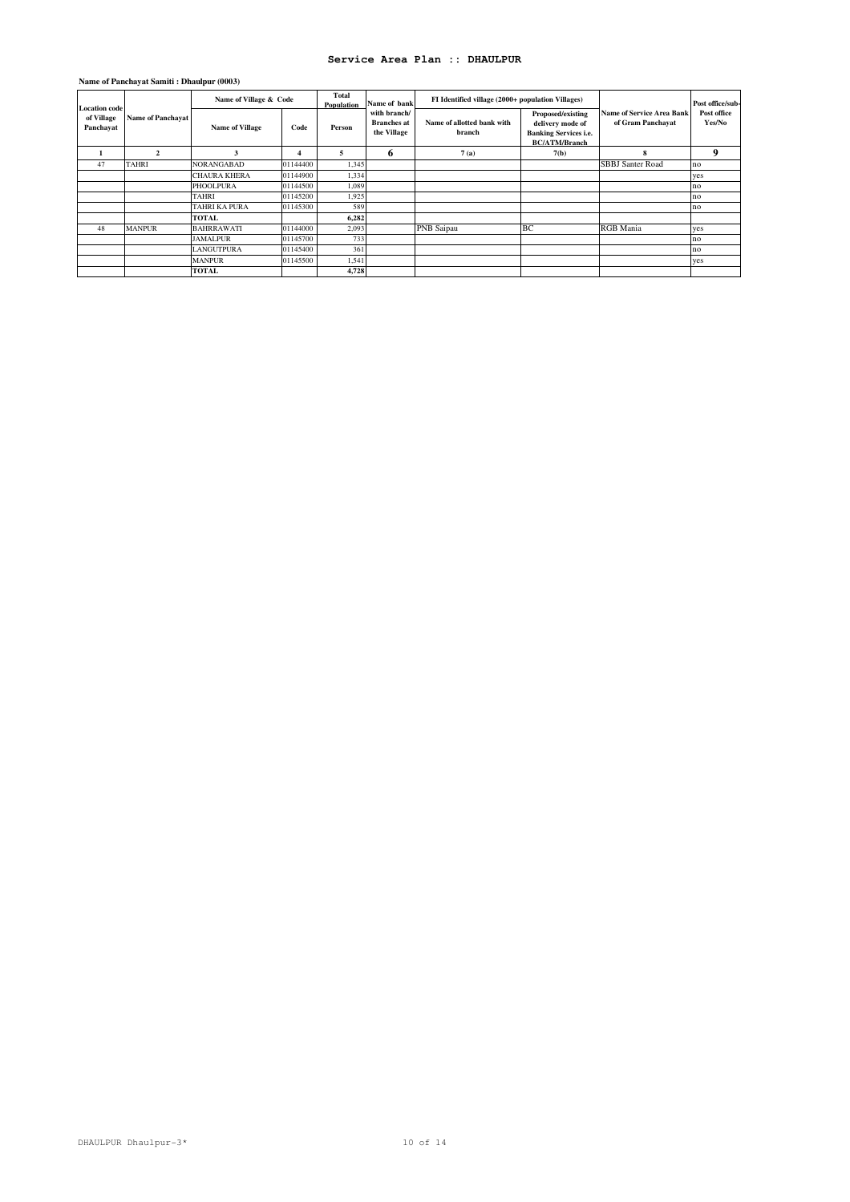| Name of Panchayat Samiti : Dhaulpur (0003) |  |  |  |
|--------------------------------------------|--|--|--|
|--------------------------------------------|--|--|--|

| <b>Location code</b>    |                          | Name of Village & Code |          | Total<br>Population | Name of bank                                      | FI Identified village (2000+ population Villages) |                                                                                               |                                                       | Post office/sub-      |
|-------------------------|--------------------------|------------------------|----------|---------------------|---------------------------------------------------|---------------------------------------------------|-----------------------------------------------------------------------------------------------|-------------------------------------------------------|-----------------------|
| of Village<br>Panchayat | <b>Name of Panchayat</b> | <b>Name of Village</b> | Code     | Person              | with branch/<br><b>Branches</b> at<br>the Village | Name of allotted bank with<br>branch              | Proposed/existing<br>delivery mode of<br><b>Banking Services i.e.</b><br><b>BC/ATM/Branch</b> | <b>Name of Service Area Bank</b><br>of Gram Panchayat | Post office<br>Yes/No |
|                         | $\mathfrak{D}$           |                        |          | 5                   | 6                                                 | 7(a)                                              | 7(b)                                                                                          | 8                                                     | 9                     |
| 47                      | <b>TAHRI</b>             | <b>NORANGABAD</b>      | 01144400 | 1,345               |                                                   |                                                   |                                                                                               | <b>SBBJ</b> Santer Road                               | no                    |
|                         |                          | <b>CHAURA KHERA</b>    | 01144900 | 1,334               |                                                   |                                                   |                                                                                               |                                                       | yes                   |
|                         |                          | <b>PHOOLPURA</b>       | 01144500 | 1,089               |                                                   |                                                   |                                                                                               |                                                       | no                    |
|                         |                          | <b>TAHRI</b>           | 01145200 | 1,925               |                                                   |                                                   |                                                                                               |                                                       | no                    |
|                         |                          | <b>TAHRI KA PURA</b>   | 01145300 | 589                 |                                                   |                                                   |                                                                                               |                                                       | no                    |
|                         |                          | <b>TOTAL</b>           |          | 6,282               |                                                   |                                                   |                                                                                               |                                                       |                       |
| 48                      | <b>MANPUR</b>            | <b>BAHRRAWATI</b>      | 01144000 | 2,093               |                                                   | PNB Saipau                                        | <b>BC</b>                                                                                     | <b>RGB</b> Mania                                      | yes                   |
|                         |                          | <b>JAMALPUR</b>        | 01145700 | 733                 |                                                   |                                                   |                                                                                               |                                                       | no                    |
|                         |                          | <b>LANGUTPURA</b>      | 01145400 | 361                 |                                                   |                                                   |                                                                                               |                                                       | no                    |
|                         |                          | <b>MANPUR</b>          | 01145500 | 1,541               |                                                   |                                                   |                                                                                               |                                                       | ves                   |
|                         |                          | <b>TOTAL</b>           |          | 4,728               |                                                   |                                                   |                                                                                               |                                                       |                       |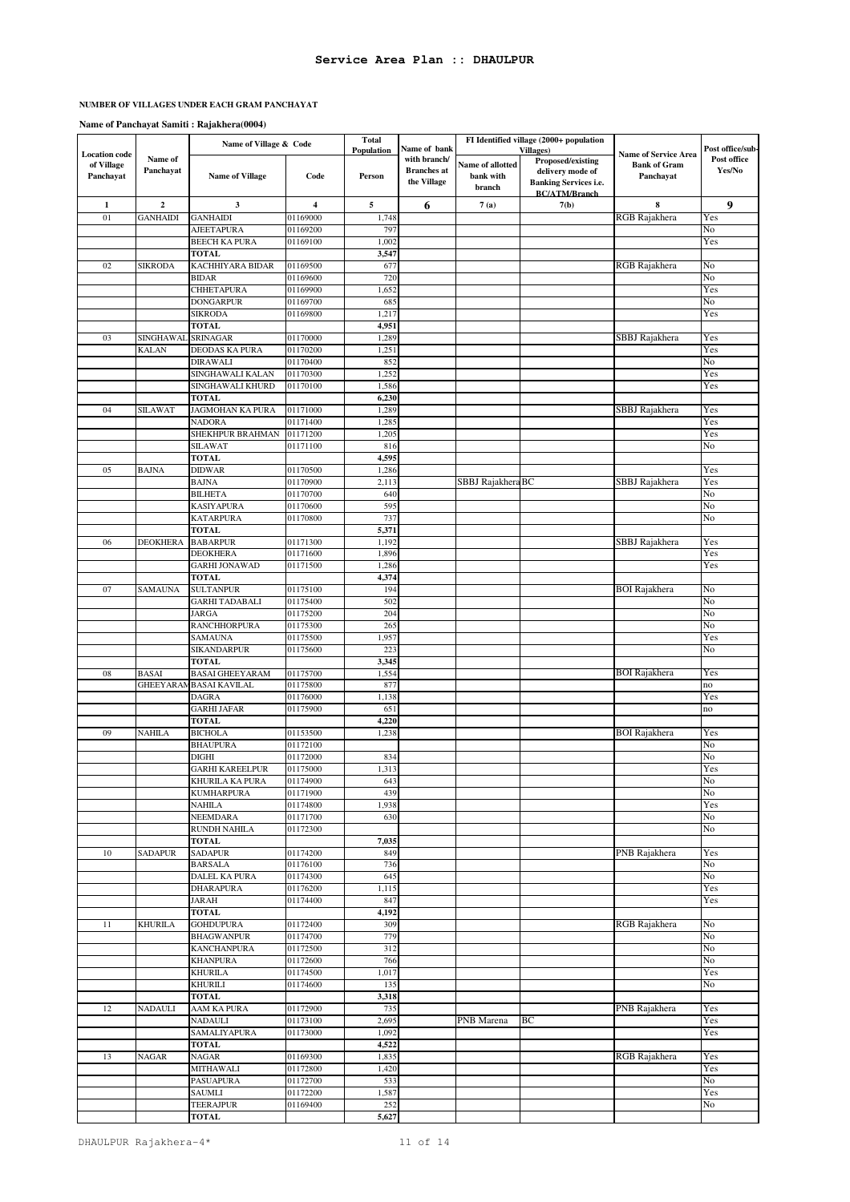### **NUMBER OF VILLAGES UNDER EACH GRAM PANCHAYAT**

|                                                 |                      | Name of Village & Code                |                      | <b>Total</b><br>Population | Name of bank                                      |                                         | FI Identified village (2000+ population<br><b>Villages</b> )                                  |                                                                 | Post office/sub-      |
|-------------------------------------------------|----------------------|---------------------------------------|----------------------|----------------------------|---------------------------------------------------|-----------------------------------------|-----------------------------------------------------------------------------------------------|-----------------------------------------------------------------|-----------------------|
| <b>Location</b> code<br>of Village<br>Panchayat | Name of<br>Panchayat | <b>Name of Village</b>                | Code                 | Person                     | with branch/<br><b>Branches</b> at<br>the Village | Name of allotted<br>bank with<br>branch | Proposed/existing<br>delivery mode of<br><b>Banking Services i.e.</b><br><b>BC/ATM/Branch</b> | <b>Name of Service Area</b><br><b>Bank of Gram</b><br>Panchayat | Post office<br>Yes/No |
| $\mathbf{1}$                                    | $\boldsymbol{2}$     | 3                                     | 4                    | 5                          | 6                                                 | 7(a)                                    | 7(b)                                                                                          | 8                                                               | 9                     |
| 01                                              | <b>GANHAIDI</b>      | <b>GANHAIDI</b>                       | 01169000             | 1,748                      |                                                   |                                         |                                                                                               | RGB Rajakhera                                                   | Yes                   |
|                                                 |                      | AJEETAPURA                            | 01169200             | 797                        |                                                   |                                         |                                                                                               |                                                                 | No                    |
|                                                 |                      | <b>BEECH KA PURA</b><br><b>TOTAL</b>  | 01169100             | 1,002<br>3,547             |                                                   |                                         |                                                                                               |                                                                 | Yes                   |
| 02                                              | <b>SIKRODA</b>       | KACHHIYARA BIDAR                      | 01169500             | 677                        |                                                   |                                         |                                                                                               | RGB Rajakhera                                                   | No                    |
|                                                 |                      | <b>BIDAR</b>                          | 01169600             | 720                        |                                                   |                                         |                                                                                               |                                                                 | No                    |
|                                                 |                      | <b>CHHETAPURA</b>                     | 01169900             | 1,652                      |                                                   |                                         |                                                                                               |                                                                 | Yes                   |
|                                                 |                      | <b>DONGARPUR</b>                      | 01169700             | 685                        |                                                   |                                         |                                                                                               |                                                                 | No                    |
|                                                 |                      | <b>SIKRODA</b>                        | 01169800             | 1,217                      |                                                   |                                         |                                                                                               |                                                                 | Yes                   |
| 03                                              | SINGHAWAL            | <b>TOTAL</b><br><b>SRINAGAR</b>       | 01170000             | 4,951<br>1,289             |                                                   |                                         |                                                                                               |                                                                 |                       |
|                                                 | KALAN                | DEODAS KA PURA                        | 01170200             | 1,251                      |                                                   |                                         |                                                                                               | SBBJ Rajakhera                                                  | Yes<br>Yes            |
|                                                 |                      | <b>DIRAWALI</b>                       | 01170400             | 852                        |                                                   |                                         |                                                                                               |                                                                 | No                    |
|                                                 |                      | SINGHAWALI KALAN                      | 01170300             | 1,252                      |                                                   |                                         |                                                                                               |                                                                 | Yes                   |
|                                                 |                      | SINGHAWALI KHURD                      | 01170100             | 1,586                      |                                                   |                                         |                                                                                               |                                                                 | Yes                   |
|                                                 |                      | <b>TOTAL</b>                          |                      | 6,230                      |                                                   |                                         |                                                                                               |                                                                 |                       |
| 04                                              | <b>SILAWAT</b>       | JAGMOHAN KA PURA                      | 01171000             | 1,289                      |                                                   |                                         |                                                                                               | SBBJ Rajakhera                                                  | Yes                   |
|                                                 |                      | <b>NADORA</b><br>SHEKHPUR BRAHMAN     | 01171400<br>01171200 | 1,285<br>1,205             |                                                   |                                         |                                                                                               |                                                                 | Yes<br>Yes            |
|                                                 |                      | <b>SILAWAT</b>                        | 01171100             | 816                        |                                                   |                                         |                                                                                               |                                                                 | No                    |
|                                                 |                      | <b>TOTAL</b>                          |                      | 4,595                      |                                                   |                                         |                                                                                               |                                                                 |                       |
| 05                                              | <b>BAJNA</b>         | <b>DIDWAR</b>                         | 01170500             | 1,286                      |                                                   |                                         |                                                                                               |                                                                 | Yes                   |
|                                                 |                      | <b>BAJNA</b>                          | 01170900             | 2,113                      |                                                   | SBBJ Rajakhera BC                       |                                                                                               | SBBJ Rajakhera                                                  | Yes                   |
|                                                 |                      | <b>BILHETA</b>                        | 01170700             | 640                        |                                                   |                                         |                                                                                               |                                                                 | No                    |
|                                                 |                      | <b>KASIYAPURA</b>                     | 01170600             | 595                        |                                                   |                                         |                                                                                               |                                                                 | No                    |
|                                                 |                      | <b>KATARPURA</b>                      | 01170800             | 737                        |                                                   |                                         |                                                                                               |                                                                 | No                    |
| 06                                              | <b>DEOKHERA</b>      | <b>TOTAL</b><br><b>BABARPUR</b>       | 01171300             | 5,371<br>1,192             |                                                   |                                         |                                                                                               | SBBJ Rajakhera                                                  | Yes                   |
|                                                 |                      | <b>DEOKHERA</b>                       | 01171600             | 1,896                      |                                                   |                                         |                                                                                               |                                                                 | Yes                   |
|                                                 |                      | <b>GARHI JONAWAD</b>                  | 01171500             | 1,286                      |                                                   |                                         |                                                                                               |                                                                 | Yes                   |
|                                                 |                      | <b>TOTAL</b>                          |                      | 4,374                      |                                                   |                                         |                                                                                               |                                                                 |                       |
| 07                                              | SAMAUNA              | <b>SULTANPUR</b>                      | 01175100             | 194                        |                                                   |                                         |                                                                                               | <b>BOI Rajakhera</b>                                            | No                    |
|                                                 |                      | <b>GARHI TADABALI</b>                 | 01175400             | 502                        |                                                   |                                         |                                                                                               |                                                                 | No                    |
|                                                 |                      | <b>JARGA</b>                          | 01175200             | 204                        |                                                   |                                         |                                                                                               |                                                                 | No<br>No              |
|                                                 |                      | <b>RANCHHORPURA</b><br><b>SAMAUNA</b> | 01175300<br>01175500 | 265<br>1,957               |                                                   |                                         |                                                                                               |                                                                 | Yes                   |
|                                                 |                      | <b>SIKANDARPUR</b>                    | 01175600             | 223                        |                                                   |                                         |                                                                                               |                                                                 | No                    |
|                                                 |                      | <b>TOTAL</b>                          |                      | 3,345                      |                                                   |                                         |                                                                                               |                                                                 |                       |
| 08                                              | <b>BASAI</b>         | <b>BASAI GHEEYARAM</b>                | 01175700             | 1,554                      |                                                   |                                         |                                                                                               | <b>BOI</b> Rajakhera                                            | Yes                   |
|                                                 | <b>GHEEYARAM</b>     | <b>BASAI KAVILAL</b>                  | 01175800             | 877                        |                                                   |                                         |                                                                                               |                                                                 | no                    |
|                                                 |                      | <b>DAGRA</b>                          | 01176000             | 1,138                      |                                                   |                                         |                                                                                               |                                                                 | Yes                   |
|                                                 |                      | <b>GARHI JAFAR</b>                    | 01175900             | 651                        |                                                   |                                         |                                                                                               |                                                                 | no                    |
| 09                                              | <b>NAHILA</b>        | <b>TOTAL</b><br><b>BICHOLA</b>        | 01153500             | 4,220<br>1,238             |                                                   |                                         |                                                                                               | <b>BOI</b> Rajakhera                                            | Yes                   |
|                                                 |                      | <b>BHAUPURA</b>                       | 01172100             |                            |                                                   |                                         |                                                                                               |                                                                 | No                    |
|                                                 |                      | <b>DIGHI</b>                          | 01172000             | 834                        |                                                   |                                         |                                                                                               |                                                                 | No                    |
|                                                 |                      | <b>GARHI KAREELPUR</b>                | 01175000             | 1,313                      |                                                   |                                         |                                                                                               |                                                                 | Yes                   |
|                                                 |                      | KHURILA KA PURA                       | 01174900             | 643                        |                                                   |                                         |                                                                                               |                                                                 | No                    |
|                                                 |                      | <b>KUMHARPURA</b>                     | 01171900             | 439                        |                                                   |                                         |                                                                                               |                                                                 | No                    |
|                                                 |                      | <b>NAHILA</b>                         | 01174800             | 1,938                      |                                                   |                                         |                                                                                               |                                                                 | Yes                   |
|                                                 |                      | NEEMDARA<br><b>RUNDH NAHILA</b>       | 01171700<br>01172300 | 630                        |                                                   |                                         |                                                                                               |                                                                 | No<br>No              |
|                                                 |                      | <b>TOTAL</b>                          |                      | 7,035                      |                                                   |                                         |                                                                                               |                                                                 |                       |
| 10                                              | <b>SADAPUR</b>       | <b>SADAPUR</b>                        | 01174200             | 849                        |                                                   |                                         |                                                                                               | PNB Rajakhera                                                   | Yes                   |
|                                                 |                      | <b>BARSALA</b>                        | 01176100             | 736                        |                                                   |                                         |                                                                                               |                                                                 | No                    |
|                                                 |                      | DALEL KA PURA                         | 01174300             | 645                        |                                                   |                                         |                                                                                               |                                                                 | No                    |
|                                                 |                      | <b>DHARAPURA</b>                      | 01176200             | 1,115                      |                                                   |                                         |                                                                                               |                                                                 | Yes                   |
|                                                 |                      | <b>JARAH</b><br><b>TOTAL</b>          | 01174400             | 847<br>4,192               |                                                   |                                         |                                                                                               |                                                                 | Yes                   |
| 11                                              | KHURILA              | <b>GOHDUPURA</b>                      | 01172400             | 309                        |                                                   |                                         |                                                                                               | RGB Rajakhera                                                   | No                    |
|                                                 |                      | <b>BHAGWANPUR</b>                     | 01174700             | 779                        |                                                   |                                         |                                                                                               |                                                                 | No                    |
|                                                 |                      | <b>KANCHANPURA</b>                    | 01172500             | 312                        |                                                   |                                         |                                                                                               |                                                                 | No                    |
|                                                 |                      | <b>KHANPURA</b>                       | 01172600             | 766                        |                                                   |                                         |                                                                                               |                                                                 | No                    |
|                                                 |                      | <b>KHURILA</b>                        | 01174500             | 1,017                      |                                                   |                                         |                                                                                               |                                                                 | Yes                   |
|                                                 |                      | <b>KHURILI</b>                        | 01174600             | 135                        |                                                   |                                         |                                                                                               |                                                                 | No                    |
| 12                                              | NADAULI              | <b>TOTAL</b><br>AAM KA PURA           | 01172900             | 3,318<br>735               |                                                   |                                         |                                                                                               | PNB Rajakhera                                                   | Yes                   |
|                                                 |                      | <b>NADAULI</b>                        | 01173100             | 2,695                      |                                                   | PNB Marena                              | BC                                                                                            |                                                                 | Yes                   |
|                                                 |                      | <b>SAMALIYAPURA</b>                   | 01173000             | 1,092                      |                                                   |                                         |                                                                                               |                                                                 | Yes                   |
|                                                 |                      | <b>TOTAL</b>                          |                      | 4,522                      |                                                   |                                         |                                                                                               |                                                                 |                       |
| 13                                              | <b>NAGAR</b>         | <b>NAGAR</b>                          | 01169300             | 1,835                      |                                                   |                                         |                                                                                               | RGB Rajakhera                                                   | Yes                   |
|                                                 |                      | <b>MITHAWALI</b>                      | 01172800             | 1,420                      |                                                   |                                         |                                                                                               |                                                                 | Yes                   |
|                                                 |                      | <b>PASUAPURA</b>                      | 01172700             | 533                        |                                                   |                                         |                                                                                               |                                                                 | No                    |
|                                                 |                      | SAUMLI<br><b>TEERAJPUR</b>            | 01172200             | 1,587                      |                                                   |                                         |                                                                                               |                                                                 | Yes                   |
|                                                 |                      | <b>TOTAL</b>                          | 01169400             | 252<br>5,627               |                                                   |                                         |                                                                                               |                                                                 | No                    |
|                                                 |                      |                                       |                      |                            |                                                   |                                         |                                                                                               |                                                                 |                       |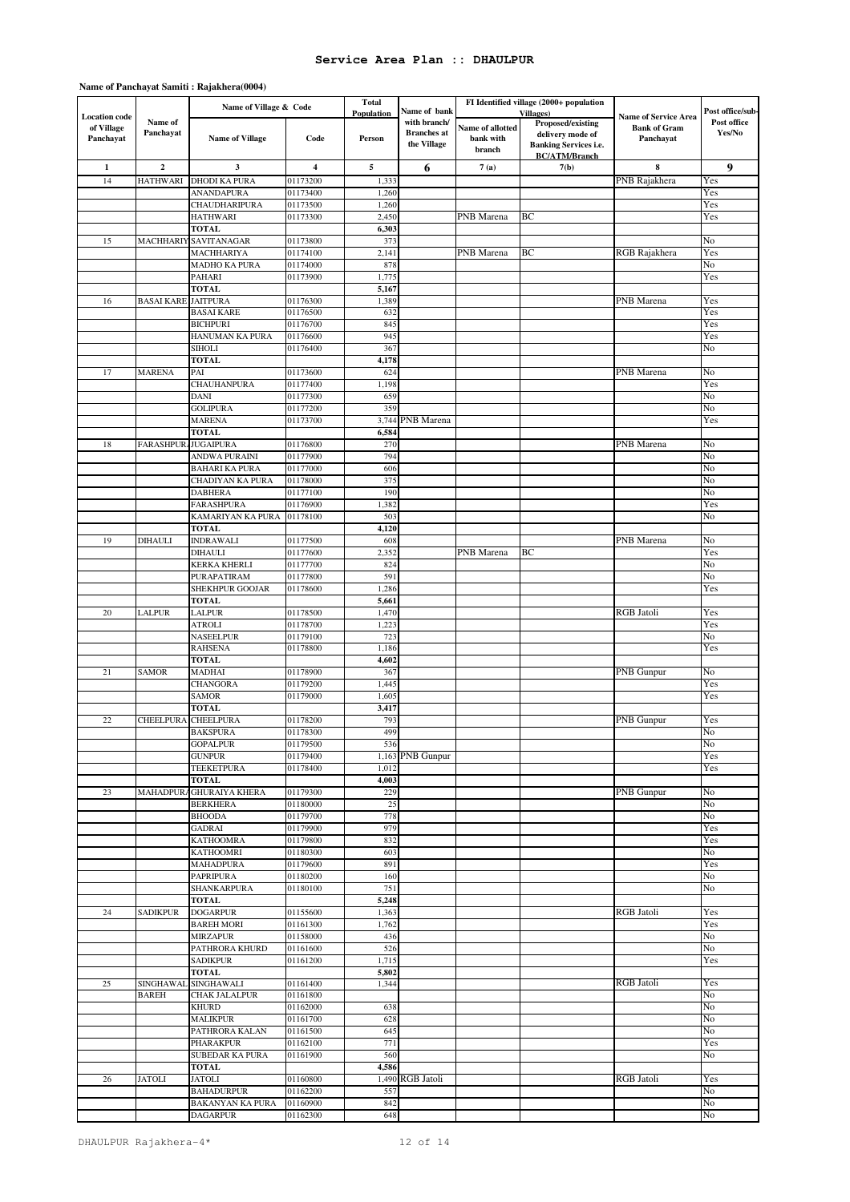|                                                 |                           | Name of Village & Code                 |                      | <b>Total</b>         |                                                                   | FI Identified village (2000+ population |                                                                                                                    |                                                                 | Post office/sub-      |
|-------------------------------------------------|---------------------------|----------------------------------------|----------------------|----------------------|-------------------------------------------------------------------|-----------------------------------------|--------------------------------------------------------------------------------------------------------------------|-----------------------------------------------------------------|-----------------------|
| <b>Location</b> code<br>of Village<br>Panchayat | Name of<br>Panchayat      | <b>Name of Village</b>                 | Code                 | Population<br>Person | Name of bank<br>with branch/<br><b>Branches</b> at<br>the Village | Name of allotted<br>bank with<br>branch | <b>Villages</b> )<br>Proposed/existing<br>delivery mode of<br><b>Banking Services i.e.</b><br><b>BC/ATM/Branch</b> | <b>Name of Service Area</b><br><b>Bank of Gram</b><br>Panchayat | Post office<br>Yes/No |
| $\mathbf 1$                                     | $\mathbf 2$               | 3                                      | 4                    | 5                    | 6                                                                 | 7(a)                                    | 7(b)                                                                                                               | 8                                                               | 9                     |
| 14                                              | <b>HATHWARI</b>           | <b>DHODI KA PURA</b>                   | 01173200             | 1,333                |                                                                   |                                         |                                                                                                                    | PNB Rajakhera                                                   | Yes                   |
|                                                 |                           | <b>ANANDAPURA</b>                      | 01173400             | 1,260                |                                                                   |                                         |                                                                                                                    |                                                                 | Yes                   |
|                                                 |                           | CHAUDHARIPURA<br><b>HATHWARI</b>       | 01173500<br>01173300 | 1,260<br>2,450       |                                                                   | PNB Marena                              | ВC                                                                                                                 |                                                                 | Yes<br>Yes            |
|                                                 |                           | <b>TOTAL</b>                           |                      | 6,303                |                                                                   |                                         |                                                                                                                    |                                                                 |                       |
| 15                                              | MACHHARIY                 | SAVITANAGAR                            | 01173800             | 373                  |                                                                   |                                         |                                                                                                                    |                                                                 | No                    |
|                                                 |                           | MACHHARIYA                             | 01174100             | 2,141                |                                                                   | PNB Marena                              | BC                                                                                                                 | RGB Rajakhera                                                   | Yes                   |
|                                                 |                           | MADHO KA PURA                          | 01174000             | 878                  |                                                                   |                                         |                                                                                                                    |                                                                 | No                    |
|                                                 |                           | <b>PAHARI</b><br><b>TOTAL</b>          | 01173900             | 1,775<br>5,167       |                                                                   |                                         |                                                                                                                    |                                                                 | Yes                   |
| 16                                              | <b>BASAI KARE</b>         | <b>JAITPURA</b>                        | 01176300             | 1,389                |                                                                   |                                         |                                                                                                                    | PNB Marena                                                      | Yes                   |
|                                                 |                           | <b>BASAI KARE</b>                      | 01176500             | 632                  |                                                                   |                                         |                                                                                                                    |                                                                 | Yes                   |
|                                                 |                           | <b>BICHPURI</b>                        | 01176700             | 845                  |                                                                   |                                         |                                                                                                                    |                                                                 | Yes                   |
|                                                 |                           | HANUMAN KA PURA                        | 01176600             | 945                  |                                                                   |                                         |                                                                                                                    |                                                                 | Yes                   |
|                                                 |                           | SIHOLI<br><b>TOTAL</b>                 | 01176400             | 367<br>4,178         |                                                                   |                                         |                                                                                                                    |                                                                 | No                    |
| 17                                              | <b>MARENA</b>             | PAI                                    | 01173600             | 624                  |                                                                   |                                         |                                                                                                                    | PNB Marena                                                      | No                    |
|                                                 |                           | <b>CHAUHANPURA</b>                     | 01177400             | 1,198                |                                                                   |                                         |                                                                                                                    |                                                                 | Yes                   |
|                                                 |                           | DANI                                   | 01177300             | 659                  |                                                                   |                                         |                                                                                                                    |                                                                 | No                    |
|                                                 |                           | <b>GOLIPURA</b>                        | 01177200             | 359                  |                                                                   |                                         |                                                                                                                    |                                                                 | No                    |
|                                                 |                           | <b>MARENA</b>                          | 01173700             | 3,744                | PNB Marena                                                        |                                         |                                                                                                                    |                                                                 | Yes                   |
| 18                                              | FARASHPUR.JUGAIPURA       | <b>TOTAL</b>                           | 01176800             | 6,584<br>270         |                                                                   |                                         |                                                                                                                    | PNB Marena                                                      | No                    |
|                                                 |                           | ANDWA PURAINI                          | 01177900             | 794                  |                                                                   |                                         |                                                                                                                    |                                                                 | No                    |
|                                                 |                           | <b>BAHARI KA PURA</b>                  | 01177000             | 606                  |                                                                   |                                         |                                                                                                                    |                                                                 | No                    |
|                                                 |                           | CHADIYAN KA PURA                       | 01178000             | 375                  |                                                                   |                                         |                                                                                                                    |                                                                 | No                    |
|                                                 |                           | <b>DABHERA</b>                         | 01177100             | 190                  |                                                                   |                                         |                                                                                                                    |                                                                 | No                    |
|                                                 |                           | FARASHPURA                             | 01176900             | 1,382                |                                                                   |                                         |                                                                                                                    |                                                                 | Yes                   |
|                                                 |                           | KAMARIYAN KA PURA<br><b>TOTAL</b>      | 01178100             | 503<br>4,120         |                                                                   |                                         |                                                                                                                    |                                                                 | No                    |
| 19                                              | DIHAULI                   | <b>INDRAWALI</b>                       | 01177500             | 608                  |                                                                   |                                         |                                                                                                                    | PNB Marena                                                      | No                    |
|                                                 |                           | <b>DIHAULI</b>                         | 01177600             | 2,352                |                                                                   | PNB Marena                              | BC                                                                                                                 |                                                                 | Yes                   |
|                                                 |                           | <b>KERKA KHERLI</b>                    | 01177700             | 824                  |                                                                   |                                         |                                                                                                                    |                                                                 | No                    |
|                                                 |                           | PURAPATIRAM                            | 01177800             | 591                  |                                                                   |                                         |                                                                                                                    |                                                                 | No                    |
|                                                 |                           | SHEKHPUR GOOJAR<br><b>TOTAL</b>        | 01178600             | 1,286<br>5,661       |                                                                   |                                         |                                                                                                                    |                                                                 | Yes                   |
| 20                                              | LALPUR                    | <b>LALPUR</b>                          | 01178500             | 1,470                |                                                                   |                                         |                                                                                                                    | <b>RGB</b> Jatoli                                               | Yes                   |
|                                                 |                           | <b>ATROLI</b>                          | 01178700             | 1,223                |                                                                   |                                         |                                                                                                                    |                                                                 | Yes                   |
|                                                 |                           | NASEELPUR                              | 01179100             | 723                  |                                                                   |                                         |                                                                                                                    |                                                                 | No                    |
|                                                 |                           | <b>RAHSENA</b>                         | 01178800             | 1,186                |                                                                   |                                         |                                                                                                                    |                                                                 | Yes                   |
| 21                                              |                           | <b>TOTAL</b>                           |                      | 4,602                |                                                                   |                                         |                                                                                                                    |                                                                 |                       |
|                                                 | <b>SAMOR</b>              | MADHAI<br><b>CHANGORA</b>              | 01178900<br>01179200 | 367<br>1,445         |                                                                   |                                         |                                                                                                                    | PNB Gunpur                                                      | No<br>Yes             |
|                                                 |                           | <b>SAMOR</b>                           | 01179000             | 1,605                |                                                                   |                                         |                                                                                                                    |                                                                 | Yes                   |
|                                                 |                           | <b>TOTAL</b>                           |                      | 3,417                |                                                                   |                                         |                                                                                                                    |                                                                 |                       |
| 22                                              | <b>CHEELPURA</b>          | <b>CHEELPURA</b>                       | 01178200             | 793                  |                                                                   |                                         |                                                                                                                    | PNB Gunpur                                                      | Yes                   |
|                                                 |                           | <b>BAKSPURA</b>                        | 01178300             | 499                  |                                                                   |                                         |                                                                                                                    |                                                                 | No                    |
|                                                 |                           | <b>GOPALPUR</b><br><b>GUNPUR</b>       | 01179500<br>01179400 | 536                  | 1,163 PNB Gunpur                                                  |                                         |                                                                                                                    |                                                                 | No<br>Yes             |
|                                                 |                           | <b>TEEKETPURA</b>                      | 01178400             | 1,012                |                                                                   |                                         |                                                                                                                    |                                                                 | <b>Yes</b>            |
|                                                 |                           | <b>TOTAL</b>                           |                      | 4,003                |                                                                   |                                         |                                                                                                                    |                                                                 |                       |
| 23                                              |                           | MAHADPURA GHURAIYA KHERA               | 01179300             | 229                  |                                                                   |                                         |                                                                                                                    | PNB Gunpur                                                      | No                    |
|                                                 |                           | <b>BERKHERA</b>                        | 01180000             | 25                   |                                                                   |                                         |                                                                                                                    |                                                                 | No                    |
|                                                 |                           | <b>BHOODA</b><br>GADRAI                | 01179700<br>01179900 | 778<br>979           |                                                                   |                                         |                                                                                                                    |                                                                 | No<br>Yes             |
|                                                 |                           | <b>KATHOOMRA</b>                       | 01179800             | 832                  |                                                                   |                                         |                                                                                                                    |                                                                 | Yes                   |
|                                                 |                           | <b>KATHOOMRI</b>                       | 01180300             | 603                  |                                                                   |                                         |                                                                                                                    |                                                                 | No                    |
|                                                 |                           | <b>MAHADPURA</b>                       | 01179600             | 891                  |                                                                   |                                         |                                                                                                                    |                                                                 | Yes                   |
|                                                 |                           | <b>PAPRIPURA</b>                       | 01180200             | 160                  |                                                                   |                                         |                                                                                                                    |                                                                 | No                    |
|                                                 |                           | SHANKARPURA<br><b>TOTAL</b>            | 01180100             | 751<br>5,248         |                                                                   |                                         |                                                                                                                    |                                                                 | No                    |
| 24                                              | <b>SADIKPUR</b>           | <b>DOGARPUR</b>                        | 01155600             | 1,363                |                                                                   |                                         |                                                                                                                    | <b>RGB</b> Jatoli                                               | Yes                   |
|                                                 |                           | <b>BAREH MORI</b>                      | 01161300             | 1,762                |                                                                   |                                         |                                                                                                                    |                                                                 | Yes                   |
|                                                 |                           | <b>MIRZAPUR</b>                        | 01158000             | 436                  |                                                                   |                                         |                                                                                                                    |                                                                 | No                    |
|                                                 |                           | PATHRORA KHURD                         | 01161600             | 526                  |                                                                   |                                         |                                                                                                                    |                                                                 | No                    |
|                                                 |                           | <b>SADIKPUR</b>                        | 01161200             | 1,715                |                                                                   |                                         |                                                                                                                    |                                                                 | Yes                   |
|                                                 |                           | <b>TOTAL</b><br><b>SINGHAWALI</b>      |                      | 5,802                |                                                                   |                                         |                                                                                                                    | RGB Jatoli                                                      | Yes                   |
| 25                                              | SINGHAWAL<br><b>BAREH</b> | CHAK JALALPUR                          | 01161400<br>01161800 | 1,344                |                                                                   |                                         |                                                                                                                    |                                                                 | No                    |
|                                                 |                           | <b>KHURD</b>                           | 01162000             | 638                  |                                                                   |                                         |                                                                                                                    |                                                                 | No                    |
|                                                 |                           | <b>MALIKPUR</b>                        | 01161700             | 628                  |                                                                   |                                         |                                                                                                                    |                                                                 | No                    |
|                                                 |                           | PATHRORA KALAN                         | 01161500             | 645                  |                                                                   |                                         |                                                                                                                    |                                                                 | No                    |
|                                                 |                           | PHARAKPUR                              | 01162100             | 771                  |                                                                   |                                         |                                                                                                                    |                                                                 | Yes                   |
|                                                 |                           | <b>SUBEDAR KA PURA</b><br><b>TOTAL</b> | 01161900             | 560<br>4,586         |                                                                   |                                         |                                                                                                                    |                                                                 | No                    |
| 26                                              | <b>JATOLI</b>             | <b>JATOLI</b>                          | 01160800             |                      | 1,490 RGB Jatoli                                                  |                                         |                                                                                                                    | <b>RGB</b> Jatoli                                               | Yes                   |
|                                                 |                           | <b>BAHADURPUR</b>                      | 01162200             | 557                  |                                                                   |                                         |                                                                                                                    |                                                                 | No                    |
|                                                 |                           | BAKANYAN KA PURA                       | 01160900             | 842                  |                                                                   |                                         |                                                                                                                    |                                                                 | No                    |
|                                                 |                           | <b>DAGARPUR</b>                        | 01162300             | 648                  |                                                                   |                                         |                                                                                                                    |                                                                 | No                    |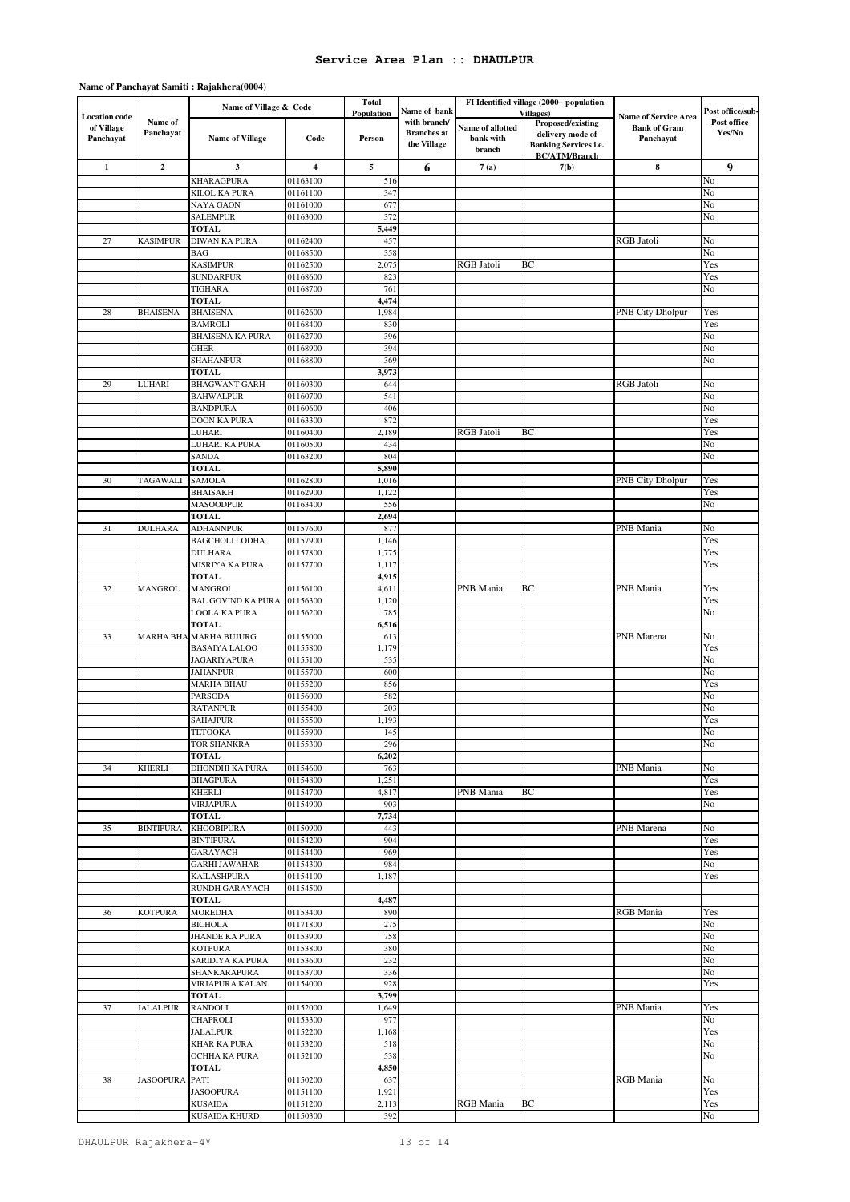|                                    |                  |                                     |                      | <b>Total</b>   |                                   | FI Identified village (2000+ population |                                                      |                                                    |                  |
|------------------------------------|------------------|-------------------------------------|----------------------|----------------|-----------------------------------|-----------------------------------------|------------------------------------------------------|----------------------------------------------------|------------------|
|                                    |                  | Name of Village & Code              |                      | Population     | Name of bank                      |                                         | Villages)                                            |                                                    | Post office/sub- |
| <b>Location</b> code<br>of Village | Name of          |                                     |                      |                | with branch/                      | Name of allotted                        | <b>Proposed/existing</b>                             | <b>Name of Service Area</b><br><b>Bank of Gram</b> | Post office      |
| Panchayat                          | Panchayat        | <b>Name of Village</b>              | Code                 | Person         | <b>Branches</b> at<br>the Village | bank with                               | delivery mode of                                     | Panchayat                                          | Yes/No           |
|                                    |                  |                                     |                      |                |                                   | branch                                  | <b>Banking Services i.e.</b><br><b>BC/ATM/Branch</b> |                                                    |                  |
| $\mathbf 1$                        | $\mathbf 2$      | $\overline{\mathbf{3}}$             | $\boldsymbol{4}$     | 5              | 6                                 | 7(a)                                    | 7(b)                                                 | 8                                                  | $\boldsymbol{9}$ |
|                                    |                  | <b>KHARAGPURA</b>                   | 01163100             | 516            |                                   |                                         |                                                      |                                                    | No               |
|                                    |                  | KILOL KA PURA                       | 01161100             | 347            |                                   |                                         |                                                      |                                                    | No               |
|                                    |                  | NAYA GAON                           | 01161000             | 677            |                                   |                                         |                                                      |                                                    | No               |
|                                    |                  | <b>SALEMPUR</b>                     | 01163000             | 372            |                                   |                                         |                                                      |                                                    | No               |
|                                    |                  | TOTAL                               |                      | 5,449          |                                   |                                         |                                                      |                                                    |                  |
| $27\,$                             | <b>KASIMPUR</b>  | DIWAN KA PURA                       | 01162400             | 457            |                                   |                                         |                                                      | <b>RGB</b> Jatoli                                  | No               |
|                                    |                  | <b>BAG</b>                          | 01168500             | 358            |                                   |                                         |                                                      |                                                    | No               |
|                                    |                  | <b>KASIMPUR</b>                     | 01162500             | 2,075          |                                   | RGB Jatoli                              | ВC                                                   |                                                    | Yes              |
|                                    |                  | <b>SUNDARPUR</b>                    | 01168600             | 823            |                                   |                                         |                                                      |                                                    | Yes              |
|                                    |                  | TIGHARA                             | 01168700             | 761            |                                   |                                         |                                                      |                                                    | No               |
|                                    |                  | <b>TOTAL</b>                        |                      | 4,474          |                                   |                                         |                                                      |                                                    |                  |
| 28                                 | <b>BHAISENA</b>  | <b>BHAISENA</b>                     | 01162600             | 1,984          |                                   |                                         |                                                      | PNB City Dholpur                                   | Yes              |
|                                    |                  | <b>BAMROLI</b>                      | 01168400             | 830            |                                   |                                         |                                                      |                                                    | Yes              |
|                                    |                  | <b>BHAISENA KA PURA</b>             | 01162700             | 396            |                                   |                                         |                                                      |                                                    | No               |
|                                    |                  | GHER                                | 01168900             | 394            |                                   |                                         |                                                      |                                                    | No               |
|                                    |                  | <b>SHAHANPUR</b>                    | 01168800             | 369            |                                   |                                         |                                                      |                                                    | No               |
|                                    |                  | <b>TOTAL</b>                        |                      | 3,973          |                                   |                                         |                                                      |                                                    |                  |
| 29                                 | LUHARI           | <b>BHAGWANT GARH</b>                | 01160300             | 644            |                                   |                                         |                                                      | RGB Jatoli                                         | No               |
|                                    |                  |                                     |                      |                |                                   |                                         |                                                      |                                                    |                  |
|                                    |                  | <b>BAHWALPUR</b><br><b>BANDPURA</b> | 01160700<br>01160600 | 541<br>406     |                                   |                                         |                                                      |                                                    | No<br>No         |
|                                    |                  | DOON KA PURA                        | 01163300             | 872            |                                   |                                         |                                                      |                                                    | Yes              |
|                                    |                  | LUHARI                              | 01160400             | 2,189          |                                   | <b>RGB</b> Jatoli                       | ВC                                                   |                                                    | Yes              |
|                                    |                  |                                     |                      | 434            |                                   |                                         |                                                      |                                                    | No               |
|                                    |                  | LUHARI KA PURA                      | 01160500             | 804            |                                   |                                         |                                                      |                                                    |                  |
|                                    |                  | SANDA                               | 01163200             |                |                                   |                                         |                                                      |                                                    | No               |
|                                    |                  | <b>TOTAL</b>                        |                      | 5,890          |                                   |                                         |                                                      |                                                    |                  |
| 30                                 | TAGAWALI         | <b>SAMOLA</b><br><b>BHAISAKH</b>    | 01162800             | 1,016<br>1,122 |                                   |                                         |                                                      | PNB City Dholpur                                   | Yes<br>Yes       |
|                                    |                  |                                     | 01162900             |                |                                   |                                         |                                                      |                                                    |                  |
|                                    |                  | <b>MASOODPUR</b>                    | 01163400             | 556            |                                   |                                         |                                                      |                                                    | No               |
|                                    |                  | <b>TOTAL</b>                        |                      | 2,694          |                                   |                                         |                                                      |                                                    |                  |
| 31                                 | <b>DULHARA</b>   | <b>ADHANNPUR</b>                    | 01157600             | 877            |                                   |                                         |                                                      | PNB Mania                                          | No               |
|                                    |                  | <b>BAGCHOLI LODHA</b>               | 01157900             | 1,146          |                                   |                                         |                                                      |                                                    | Yes              |
|                                    |                  | <b>DULHARA</b>                      | 01157800             | 1,775          |                                   |                                         |                                                      |                                                    | Yes              |
|                                    |                  | MISRIYA KA PURA                     | 01157700             | 1,117          |                                   |                                         |                                                      |                                                    | Yes              |
|                                    |                  | <b>TOTAL</b>                        |                      | 4,915          |                                   |                                         |                                                      |                                                    |                  |
| 32                                 | <b>MANGROL</b>   | <b>MANGROL</b>                      | 01156100             | 4,611          |                                   | PNB Mania                               | BС                                                   | PNB Mania                                          | Yes              |
|                                    |                  | <b>BAL GOVIND KA PURA</b>           | 01156300             | 1,120          |                                   |                                         |                                                      |                                                    | Yes              |
|                                    |                  | LOOLA KA PURA                       | 01156200             | 785            |                                   |                                         |                                                      |                                                    | No               |
|                                    |                  | <b>TOTAL</b>                        |                      | 6,516          |                                   |                                         |                                                      |                                                    |                  |
| 33                                 | <b>MARHA BHA</b> | <b>MARHA BUJURG</b>                 | 01155000             | 613            |                                   |                                         |                                                      | PNB Marena                                         | No               |
|                                    |                  | <b>BASAIYA LALOO</b>                | 01155800             | 1,179          |                                   |                                         |                                                      |                                                    | Yes              |
|                                    |                  | <b>JAGARIYAPURA</b>                 | 01155100             | 535            |                                   |                                         |                                                      |                                                    | No               |
|                                    |                  | <b>JAHANPUR</b>                     | 01155700             | 600            |                                   |                                         |                                                      |                                                    | No               |
|                                    |                  | <b>MARHA BHAU</b>                   | 01155200             | 856            |                                   |                                         |                                                      |                                                    | Yes              |
|                                    |                  | PARSODA                             | 01156000             | 582            |                                   |                                         |                                                      |                                                    | No               |
|                                    |                  | RATANPUR                            | 01155400             | 203            |                                   |                                         |                                                      |                                                    | No               |
|                                    |                  | <b>SAHAJPUR</b>                     | 01155500             | 1,193          |                                   |                                         |                                                      |                                                    | Yes              |
|                                    |                  | TETOOKA                             | 01155900             | 145            |                                   |                                         |                                                      |                                                    | No               |
|                                    |                  | <b>TOR SHANKRA</b>                  | 01155300             | 296            |                                   |                                         |                                                      |                                                    | No               |
|                                    |                  | <b>TOTAL</b>                        |                      | 6,202          |                                   |                                         |                                                      |                                                    |                  |
| 34                                 | <b>KHERLI</b>    | DHONDHI KA PURA                     | 01154600             | 763            |                                   |                                         |                                                      | PNB Mania                                          | No               |
|                                    |                  | <b>BHAGPURA</b>                     | 01154800             | 1,251          |                                   |                                         |                                                      |                                                    | Yes              |
|                                    |                  | <b>KHERLI</b>                       | 01154700             | 4,817          |                                   | PNB Mania                               | BС                                                   |                                                    | Yes              |
|                                    |                  | <b>VIRJAPURA</b>                    | 01154900             | 903            |                                   |                                         |                                                      |                                                    | No               |
|                                    |                  | <b>TOTAL</b>                        |                      | 7,734          |                                   |                                         |                                                      |                                                    |                  |
| 35                                 | <b>BINTIPURA</b> | <b>KHOOBIPURA</b>                   | 01150900             | 443            |                                   |                                         |                                                      | PNB Marena                                         | No               |
|                                    |                  | <b>BINTIPURA</b>                    | 01154200             | 904            |                                   |                                         |                                                      |                                                    | Yes              |
|                                    |                  | GARAYACH                            | 01154400             | 969            |                                   |                                         |                                                      |                                                    | Yes              |
|                                    |                  | <b>GARHI JAWAHAR</b>                | 01154300             | 984            |                                   |                                         |                                                      |                                                    | No               |
|                                    |                  | <b>KAILASHPURA</b>                  | 01154100             | 1,187          |                                   |                                         |                                                      |                                                    | Yes              |
|                                    |                  | <b>RUNDH GARAYACH</b>               | 01154500             |                |                                   |                                         |                                                      |                                                    |                  |
|                                    |                  | <b>TOTAL</b>                        |                      | 4,487          |                                   |                                         |                                                      |                                                    |                  |
| 36                                 | <b>KOTPURA</b>   | <b>MOREDHA</b>                      | 01153400             | 890            |                                   |                                         |                                                      | RGB Mania                                          | Yes              |
|                                    |                  | <b>BICHOLA</b>                      | 01171800             | 275            |                                   |                                         |                                                      |                                                    | No               |
|                                    |                  | <b>JHANDE KA PURA</b>               | 01153900             | 758            |                                   |                                         |                                                      |                                                    | No               |
|                                    |                  | <b>KOTPURA</b>                      | 01153800             | 380            |                                   |                                         |                                                      |                                                    | No               |
|                                    |                  | SARIDIYA KA PURA                    | 01153600             | 232            |                                   |                                         |                                                      |                                                    | No               |
|                                    |                  | SHANKARAPURA                        | 01153700             | 336            |                                   |                                         |                                                      |                                                    | No               |
|                                    |                  | <b>VIRJAPURA KALAN</b>              | 01154000             | 928            |                                   |                                         |                                                      |                                                    | Yes              |
|                                    |                  | <b>TOTAL</b>                        |                      | 3,799          |                                   |                                         |                                                      |                                                    |                  |
| 37                                 | <b>JALALPUR</b>  | <b>RANDOLI</b>                      | 01152000             | 1,649          |                                   |                                         |                                                      | PNB Mania                                          | Yes              |
|                                    |                  | <b>CHAPROLI</b>                     | 01153300             | 977            |                                   |                                         |                                                      |                                                    | No               |
|                                    |                  | <b>JALALPUR</b>                     | 01152200             | 1,168          |                                   |                                         |                                                      |                                                    | Yes              |
|                                    |                  | <b>KHAR KA PURA</b>                 | 01153200             | 518            |                                   |                                         |                                                      |                                                    | No               |
|                                    |                  | OCHHA KA PURA                       | 01152100             | 538            |                                   |                                         |                                                      |                                                    | No               |
|                                    |                  | TOTAL                               |                      | 4,850          |                                   |                                         |                                                      |                                                    |                  |
| 38                                 | JASOOPURA PATI   |                                     | 01150200             | 637            |                                   |                                         |                                                      | RGB Mania                                          | No               |
|                                    |                  | <b>JASOOPURA</b>                    | 01151100             | 1,921          |                                   |                                         |                                                      |                                                    | Yes              |
|                                    |                  | <b>KUSAIDA</b>                      | 01151200             | 2,113          |                                   | RGB Mania                               | ВC                                                   |                                                    | Yes              |
|                                    |                  | KUSAIDA KHURD                       | 01150300             | 392            |                                   |                                         |                                                      |                                                    | No               |